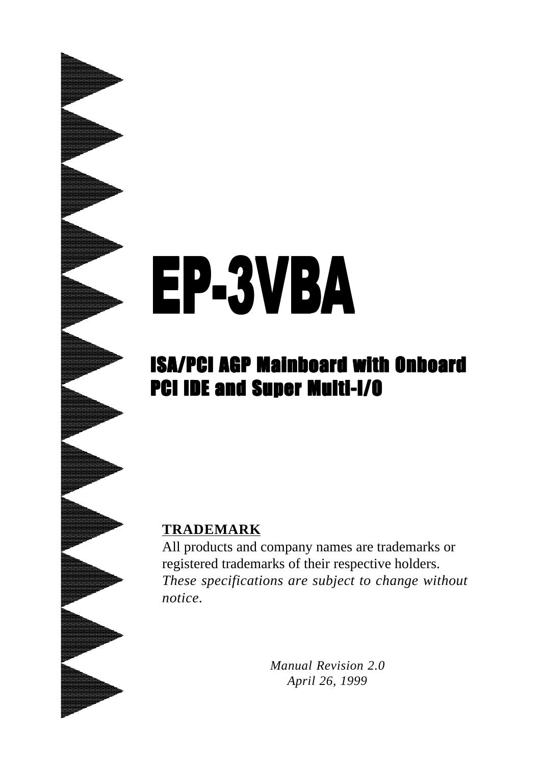# EP-3VBA

# ISA/PCI AGP Mainboard with Onboard PCI IDE and Super Multi-I/O

#### **TRADEMARK**

All products and company names are trademarks or registered trademarks of their respective holders. *These specifications are subject to change without notice.*

> *Manual Revision 2.0 April 26, 1999*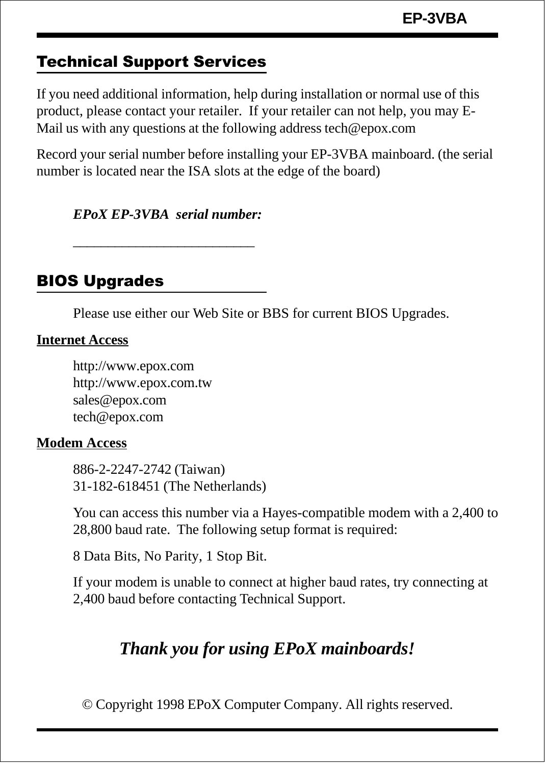# Technical Support Services

If you need additional information, help during installation or normal use of this product, please contact your retailer. If your retailer can not help, you may E-Mail us with any questions at the following address tech@epox.com

Record your serial number before installing your EP-3VBA mainboard. (the serial number is located near the ISA slots at the edge of the board)

*EPoX EP-3VBA serial number:*

\_\_\_\_\_\_\_\_\_\_\_\_\_\_\_\_\_\_\_\_\_\_\_\_\_\_

BIOS Upgrades

Please use either our Web Site or BBS for current BIOS Upgrades.

#### **Internet Access**

http://www.epox.com http://www.epox.com.tw sales@epox.com tech@epox.com

#### **Modem Access**

886-2-2247-2742 (Taiwan) 31-182-618451 (The Netherlands)

You can access this number via a Hayes-compatible modem with a 2,400 to 28,800 baud rate. The following setup format is required:

8 Data Bits, No Parity, 1 Stop Bit.

If your modem is unable to connect at higher baud rates, try connecting at 2,400 baud before contacting Technical Support.

# *Thank you for using EPoX mainboards!*

© Copyright 1998 EPoX Computer Company. All rights reserved.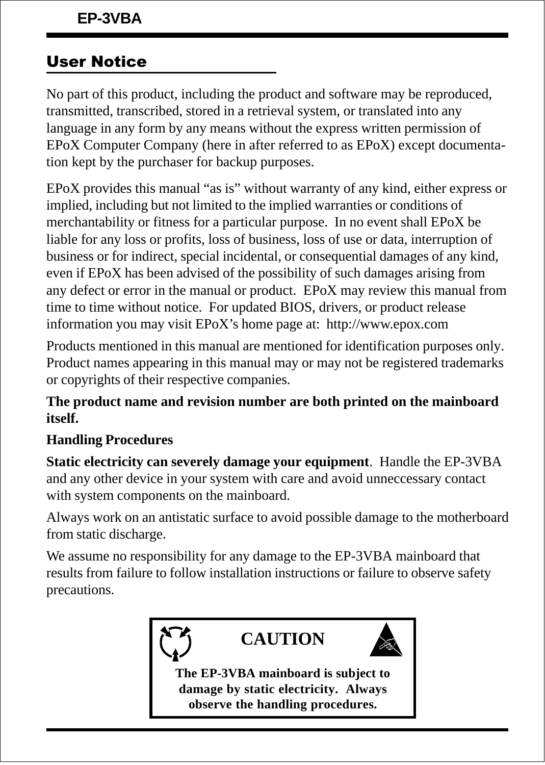# User Notice

No part of this product, including the product and software may be reproduced, transmitted, transcribed, stored in a retrieval system, or translated into any language in any form by any means without the express written permission of EPoX Computer Company (here in after referred to as EPoX) except documentation kept by the purchaser for backup purposes.

EPoX provides this manual "as is" without warranty of any kind, either express or implied, including but not limited to the implied warranties or conditions of merchantability or fitness for a particular purpose. In no event shall EPoX be liable for any loss or profits, loss of business, loss of use or data, interruption of business or for indirect, special incidental, or consequential damages of any kind, even if EPoX has been advised of the possibility of such damages arising from any defect or error in the manual or product. EPoX may review this manual from time to time without notice. For updated BIOS, drivers, or product release information you may visit EPoX's home page at: http://www.epox.com

Products mentioned in this manual are mentioned for identification purposes only. Product names appearing in this manual may or may not be registered trademarks or copyrights of their respective companies.

#### **The product name and revision number are both printed on the mainboard itself.**

#### **Handling Procedures**

**Static electricity can severely damage your equipment**. Handle the EP-3VBA and any other device in your system with care and avoid unneccessary contact with system components on the mainboard.

Always work on an antistatic surface to avoid possible damage to the motherboard from static discharge.

We assume no responsibility for any damage to the EP-3VBA mainboard that results from failure to follow installation instructions or failure to observe safety precautions.





**The EP-3VBA mainboard is subject to damage by static electricity. Always observe the handling procedures.**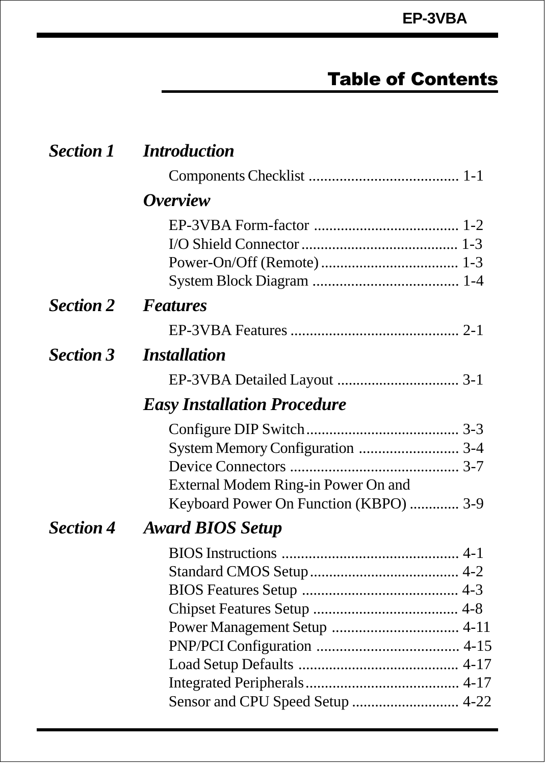# Table of Contents

| <b>Section 1</b> | <i>Introduction</i>                                                           |  |  |  |  |
|------------------|-------------------------------------------------------------------------------|--|--|--|--|
|                  |                                                                               |  |  |  |  |
|                  | <i><b>Overview</b></i>                                                        |  |  |  |  |
|                  |                                                                               |  |  |  |  |
| <b>Section 2</b> | <b>Features</b>                                                               |  |  |  |  |
|                  |                                                                               |  |  |  |  |
| <b>Section 3</b> | <i><b>Installation</b></i>                                                    |  |  |  |  |
|                  |                                                                               |  |  |  |  |
|                  | <b>Easy Installation Procedure</b>                                            |  |  |  |  |
|                  | External Modem Ring-in Power On and<br>Keyboard Power On Function (KBPO)  3-9 |  |  |  |  |
| <b>Section 4</b> | <b>Award BIOS Setup</b>                                                       |  |  |  |  |
|                  |                                                                               |  |  |  |  |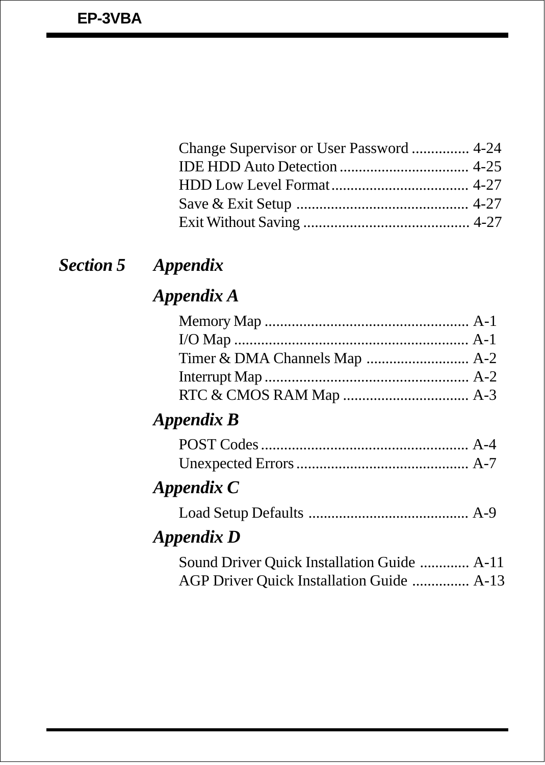| Change Supervisor or User Password  4-24 |  |
|------------------------------------------|--|
|                                          |  |
|                                          |  |
|                                          |  |
|                                          |  |

# *Section 5 Appendix*

# *Appendix A*

# *Appendix B*

# *Appendix C*

|--|--|--|

# *Appendix D*

| Sound Driver Quick Installation Guide  A-11 |  |
|---------------------------------------------|--|
| AGP Driver Quick Installation Guide  A-13   |  |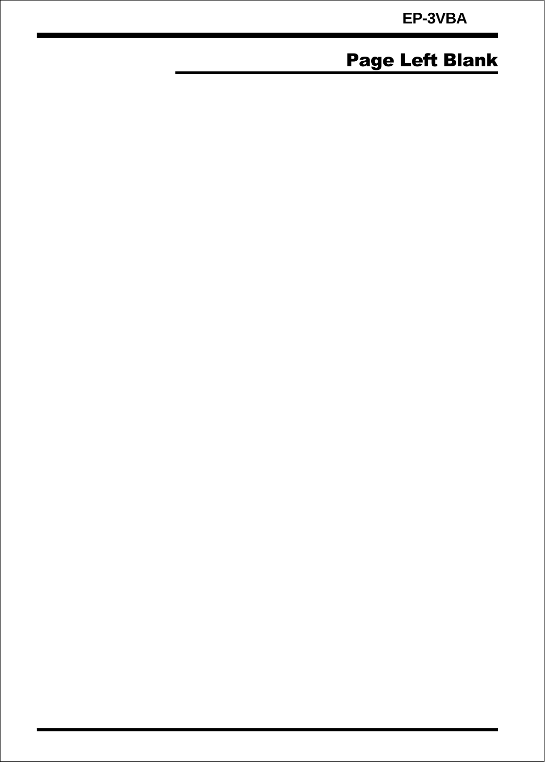# Page Left Blank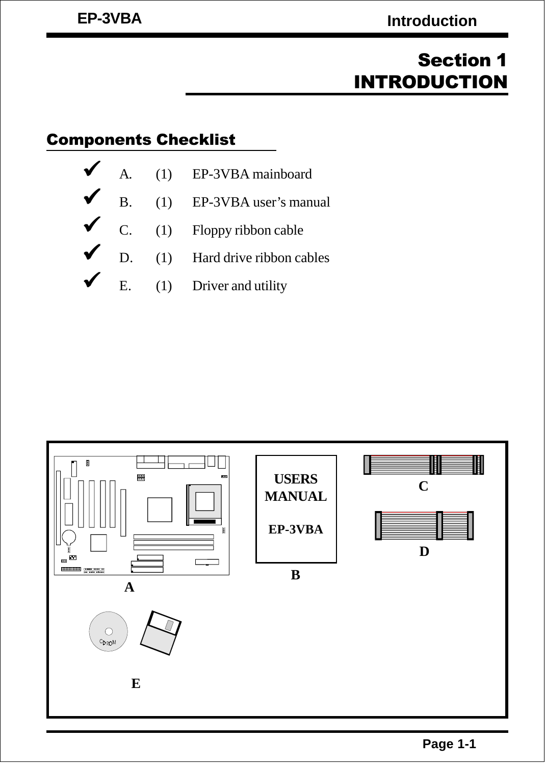# Section 1 INTRODUCTION

#### Components Checklist

ü A. (1) EP-3VBA mainboard B. (1) EP-3VBA user's manual C. (1) Floppy ribbon cable D. (1) Hard drive ribbon cables E.  $(1)$  Driver and utility

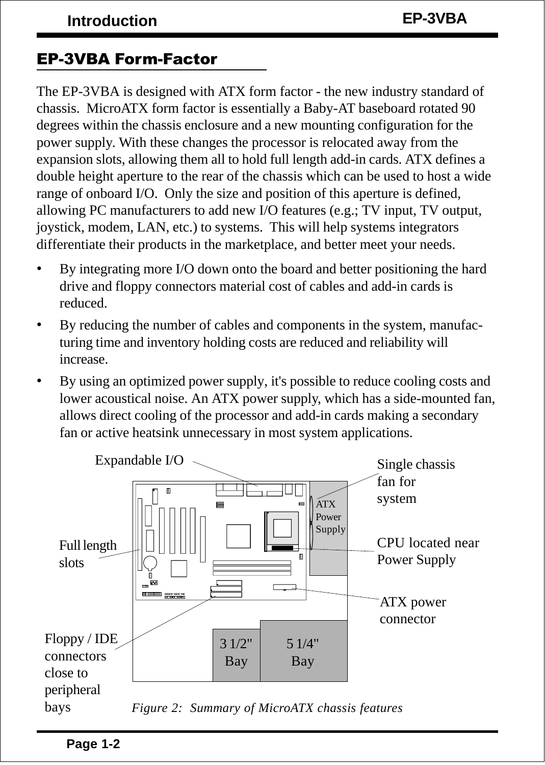# EP-3VBA Form-Factor

The EP-3VBA is designed with ATX form factor - the new industry standard of chassis. MicroATX form factor is essentially a Baby-AT baseboard rotated 90 degrees within the chassis enclosure and a new mounting configuration for the power supply. With these changes the processor is relocated away from the expansion slots, allowing them all to hold full length add-in cards. ATX defines a double height aperture to the rear of the chassis which can be used to host a wide range of onboard I/O. Only the size and position of this aperture is defined, allowing PC manufacturers to add new I/O features (e.g.; TV input, TV output, joystick, modem, LAN, etc.) to systems. This will help systems integrators differentiate their products in the marketplace, and better meet your needs.

- By integrating more I/O down onto the board and better positioning the hard drive and floppy connectors material cost of cables and add-in cards is reduced.
- By reducing the number of cables and components in the system, manufacturing time and inventory holding costs are reduced and reliability will increase.
- By using an optimized power supply, it's possible to reduce cooling costs and lower acoustical noise. An ATX power supply, which has a side-mounted fan, allows direct cooling of the processor and add-in cards making a secondary fan or active heatsink unnecessary in most system applications.

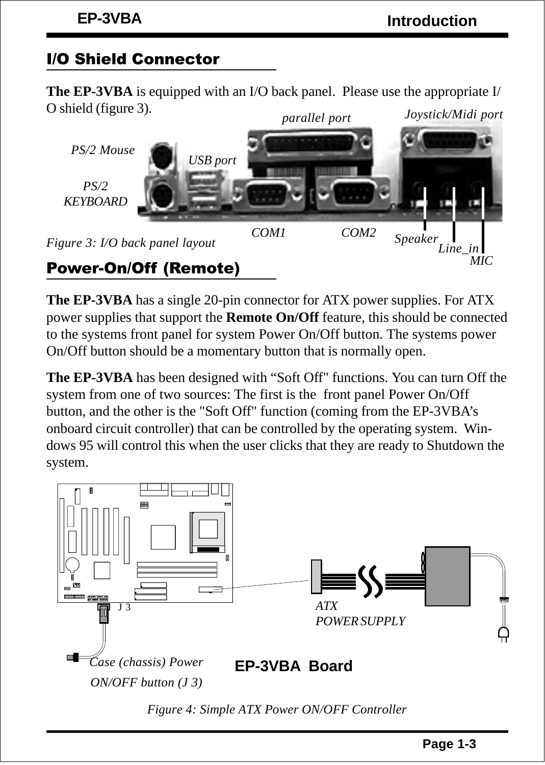# I/O Shield Connector

**The EP-3VBA** is equipped with an I/O back panel. Please use the appropriate I/ O shield (figure 3). *Joystick/Midi port*



**The EP-3VBA** has a single 20-pin connector for ATX power supplies. For ATX power supplies that support the **Remote On/Off** feature, this should be connected to the systems front panel for system Power On/Off button. The systems power On/Off button should be a momentary button that is normally open.

**The EP-3VBA** has been designed with "Soft Off" functions. You can turn Off the system from one of two sources: The first is the front panel Power On/Off button, and the other is the "Soft Off" function (coming from the EP-3VBA's onboard circuit controller) that can be controlled by the operating system. Windows 95 will control this when the user clicks that they are ready to Shutdown the system.



*Figure 4: Simple ATX Power ON/OFF Controller*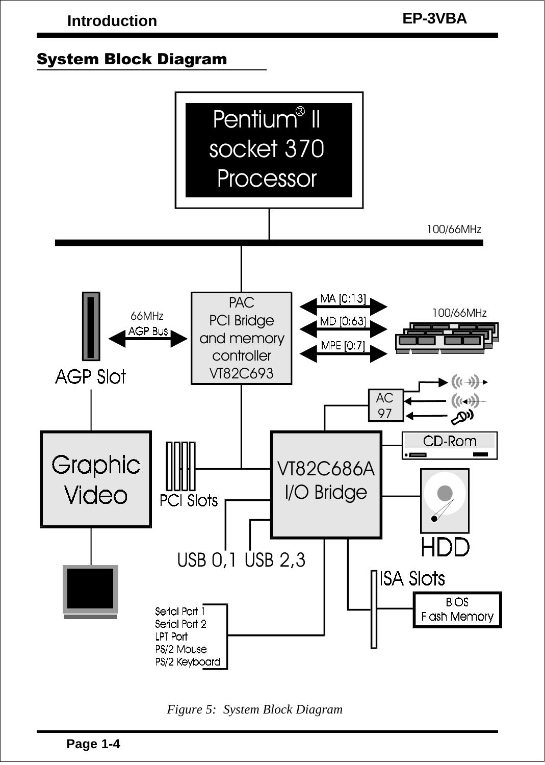#### System Block Diagram



*Figure 5: System Block Diagram*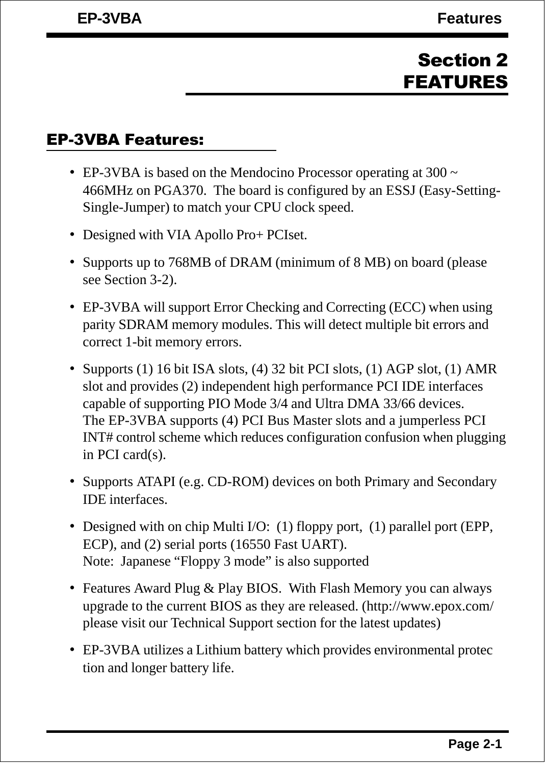# Section 2 FEATURES

### EP-3VBA Features:

- EP-3VBA is based on the Mendocino Processor operating at 300  $\sim$ 466MHz on PGA370. The board is configured by an ESSJ (Easy-Setting-Single-Jumper) to match your CPU clock speed.
- Designed with VIA Apollo Pro+ PCIset.
- Supports up to 768MB of DRAM (minimum of 8 MB) on board (please see Section 3-2).
- EP-3VBA will support Error Checking and Correcting (ECC) when using parity SDRAM memory modules. This will detect multiple bit errors and correct 1-bit memory errors.
- Supports (1) 16 bit ISA slots, (4) 32 bit PCI slots, (1) AGP slot, (1) AMR slot and provides (2) independent high performance PCI IDE interfaces capable of supporting PIO Mode 3/4 and Ultra DMA 33/66 devices. The EP-3VBA supports (4) PCI Bus Master slots and a jumperless PCI INT# control scheme which reduces configuration confusion when plugging in PCI card(s).
- Supports ATAPI (e.g. CD-ROM) devices on both Primary and Secondary IDE interfaces.
- Designed with on chip Multi I/O: (1) floppy port, (1) parallel port (EPP, ECP), and (2) serial ports (16550 Fast UART). Note: Japanese "Floppy 3 mode" is also supported
- Features Award Plug & Play BIOS. With Flash Memory you can always upgrade to the current BIOS as they are released. (http://www.epox.com/ please visit our Technical Support section for the latest updates)
- EP-3VBA utilizes a Lithium battery which provides environmental protec tion and longer battery life.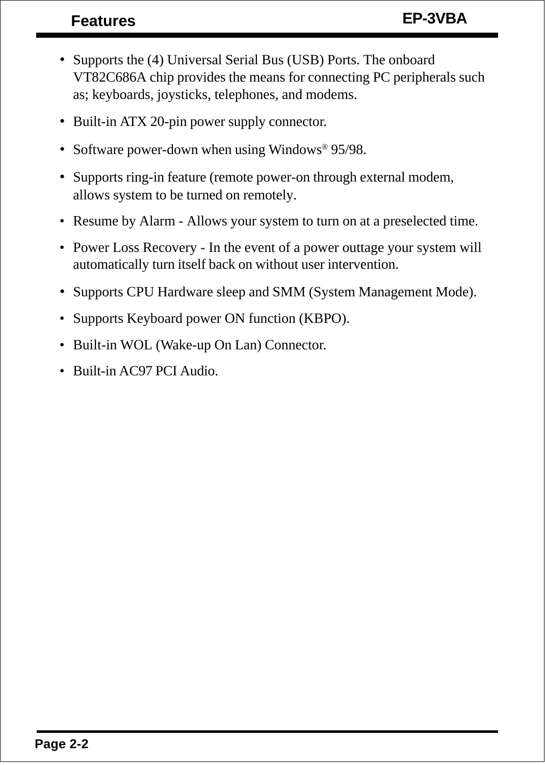- Supports the (4) Universal Serial Bus (USB) Ports. The onboard VT82C686A chip provides the means for connecting PC peripherals such as; keyboards, joysticks, telephones, and modems.
- Built-in ATX 20-pin power supply connector.
- Software power-down when using Windows<sup>®</sup> 95/98.
- Supports ring-in feature (remote power-on through external modem, allows system to be turned on remotely.
- Resume by Alarm Allows your system to turn on at a preselected time.
- Power Loss Recovery In the event of a power outtage your system will automatically turn itself back on without user intervention.
- Supports CPU Hardware sleep and SMM (System Management Mode).
- Supports Keyboard power ON function (KBPO).
- Built-in WOL (Wake-up On Lan) Connector.
- Built-in AC97 PCI Audio.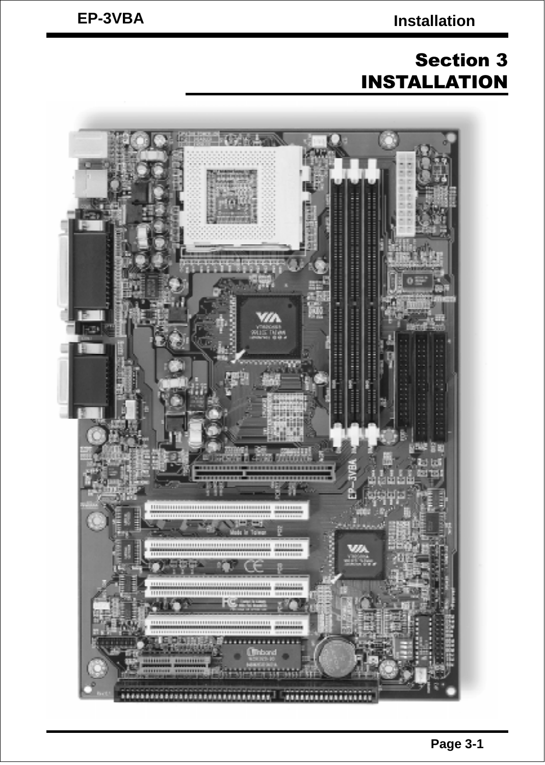# Section 3 INSTALLATION

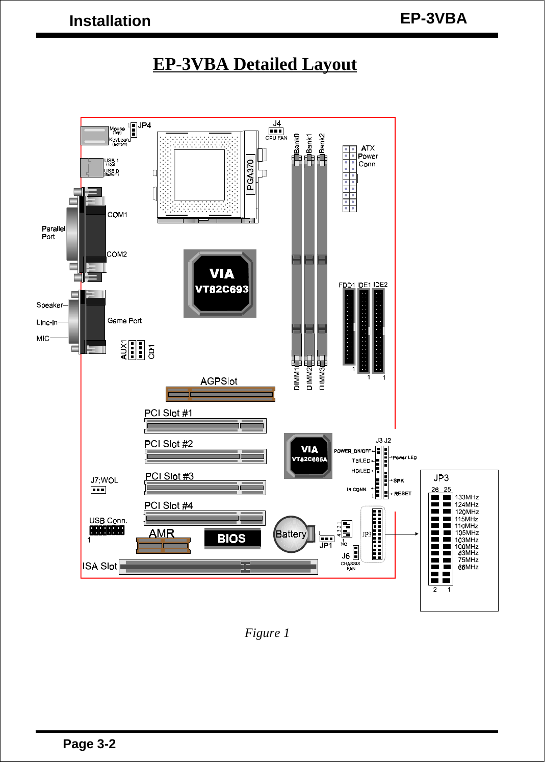# **EP-3VBA Detailed Layout**



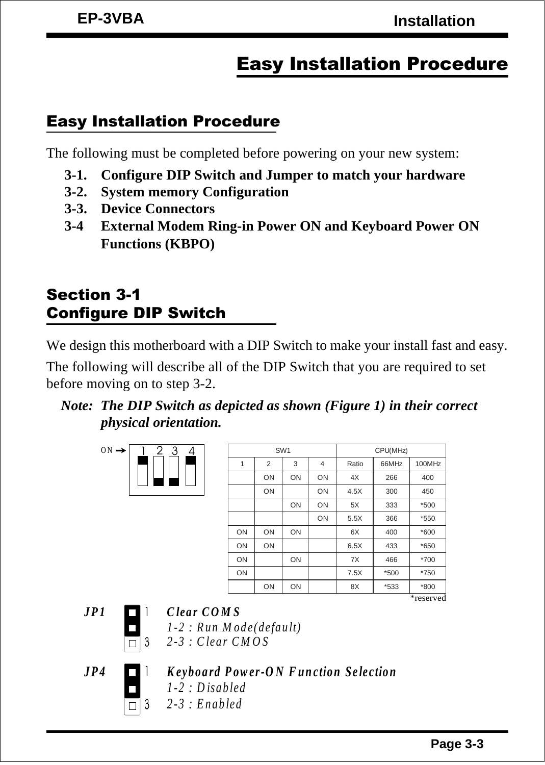# Easy Installation Procedure

#### Easy Installation Procedure

The following must be completed before powering on your new system:

- **3-1. Configure DIP Switch and Jumper to match your hardware**
- **3-2. System memory Configuration**
- **3-3. Device Connectors**
- **3-4 External Modem Ring-in Power ON and Keyboard Power ON Functions (KBPO)**

# Section 3-1 Configure DIP Switch

We design this motherboard with a DIP Switch to make your install fast and easy.

The following will describe all of the DIP Switch that you are required to set before moving on to step 3-2.

#### *Note: The DIP Switch as depicted as shown (Figure 1) in their correct physical orientation.*

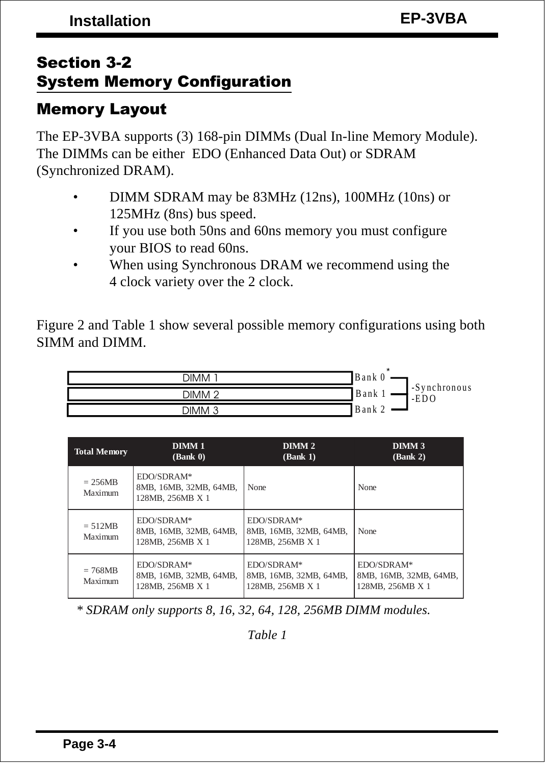# Section 3-2 System Memory Configuration

#### Memory Layout

The EP-3VBA supports (3) 168-pin DIMMs (Dual In-line Memory Module). The DIMMs can be either EDO (Enhanced Data Out) or SDRAM (Synchronized DRAM).

- DIMM SDRAM may be 83MHz (12ns), 100MHz (10ns) or 125MHz (8ns) bus speed.
- If you use both 50ns and 60ns memory you must configure your BIOS to read 60ns.
- When using Synchronous DRAM we recommend using the 4 clock variety over the 2 clock.

Figure 2 and Table 1 show several possible memory configurations using both SIMM and DIMM.



| <b>Total Memory</b>  | DIMM <sub>1</sub><br>(Bank 0)                            | DIMM <sub>2</sub><br>(Bank 1)                            | DIMM <sub>3</sub><br>(Bank 2)                            |
|----------------------|----------------------------------------------------------|----------------------------------------------------------|----------------------------------------------------------|
| $= 256MB$<br>Maximum | EDO/SDRAM*<br>8MB, 16MB, 32MB, 64MB,<br>128MB, 256MB X 1 | None                                                     | None                                                     |
| $= 512MB$<br>Maximum | EDO/SDRAM*<br>8MB, 16MB, 32MB, 64MB,<br>128MB, 256MB X 1 | EDO/SDRAM*<br>8MB, 16MB, 32MB, 64MB.<br>128MB, 256MB X 1 | None                                                     |
| $= 768MB$<br>Maximum | EDO/SDRAM*<br>8MB, 16MB, 32MB, 64MB,<br>128MB, 256MB X 1 | EDO/SDRAM*<br>8MB, 16MB, 32MB, 64MB,<br>128MB, 256MB X 1 | EDO/SDRAM*<br>8MB, 16MB, 32MB, 64MB,<br>128MB, 256MB X 1 |

 *\* SDRAM only supports 8, 16, 32, 64, 128, 256MB DIMM modules.*

*Table 1*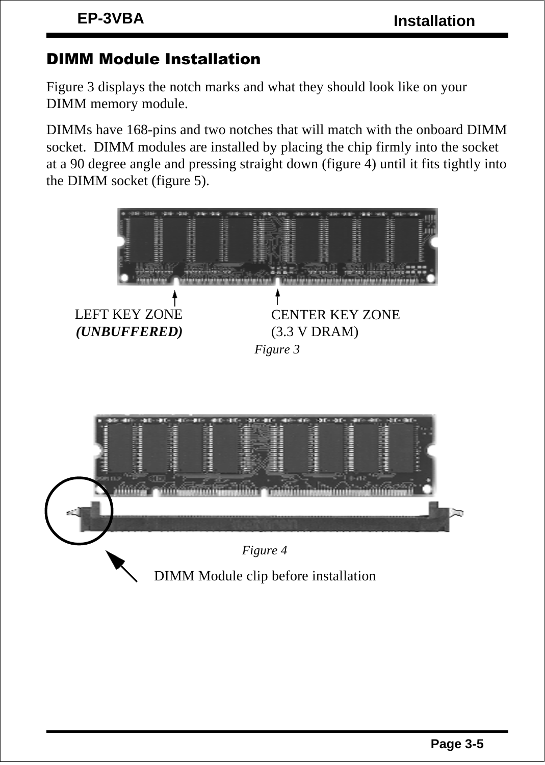# DIMM Module Installation

Figure 3 displays the notch marks and what they should look like on your DIMM memory module.

DIMMs have 168-pins and two notches that will match with the onboard DIMM socket. DIMM modules are installed by placing the chip firmly into the socket at a 90 degree angle and pressing straight down (figure 4) until it fits tightly into the DIMM socket (figure 5).

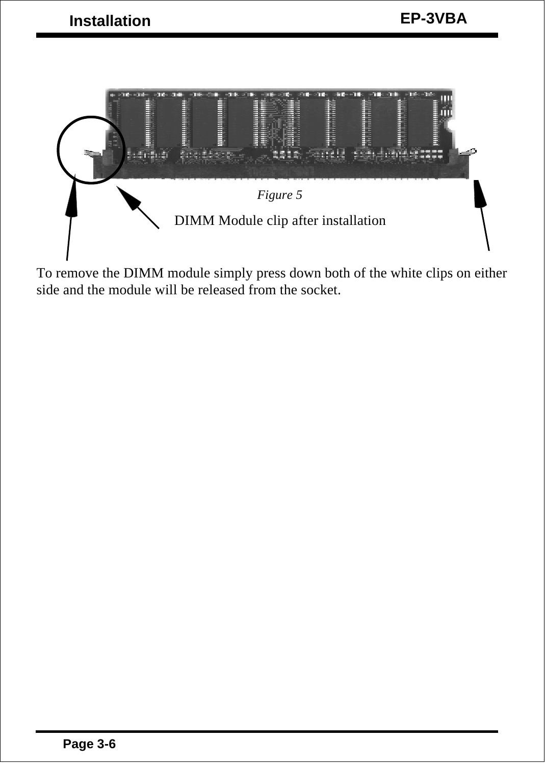

To remove the DIMM module simply press down both of the white clips on either side and the module will be released from the socket.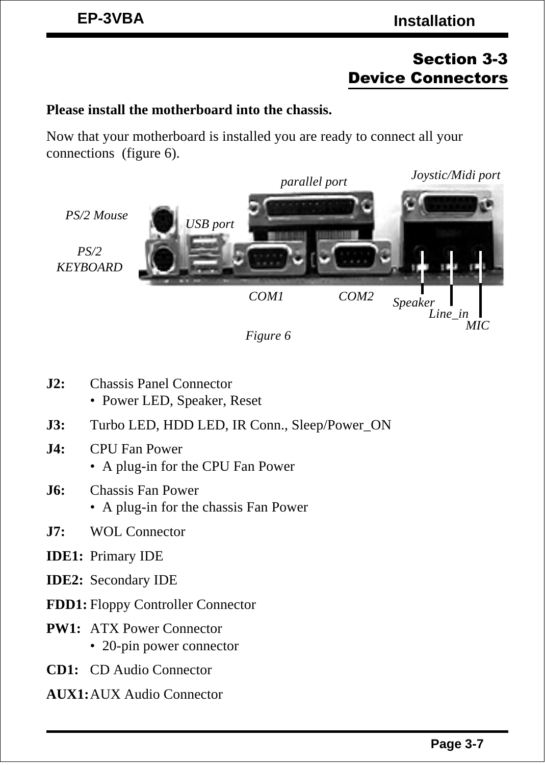### Section 3-3 Device Connectors

#### **Please install the motherboard into the chassis.**

Now that your motherboard is installed you are ready to connect all your connections (figure 6).



*Figure 6*

- **J2:** Chassis Panel Connector
	- Power LED, Speaker, Reset
- **J3:** Turbo LED, HDD LED, IR Conn., Sleep/Power\_ON
- **J4:** CPU Fan Power
	- A plug-in for the CPU Fan Power
- **J6:** Chassis Fan Power
	- A plug-in for the chassis Fan Power
- **J7:** WOL Connector
- **IDE1:** Primary IDE
- **IDE2:** Secondary IDE
- **FDD1:** Floppy Controller Connector
- **PW1:** ATX Power Connector • 20-pin power connector
- **CD1:** CD Audio Connector
- **AUX1:**AUX Audio Connector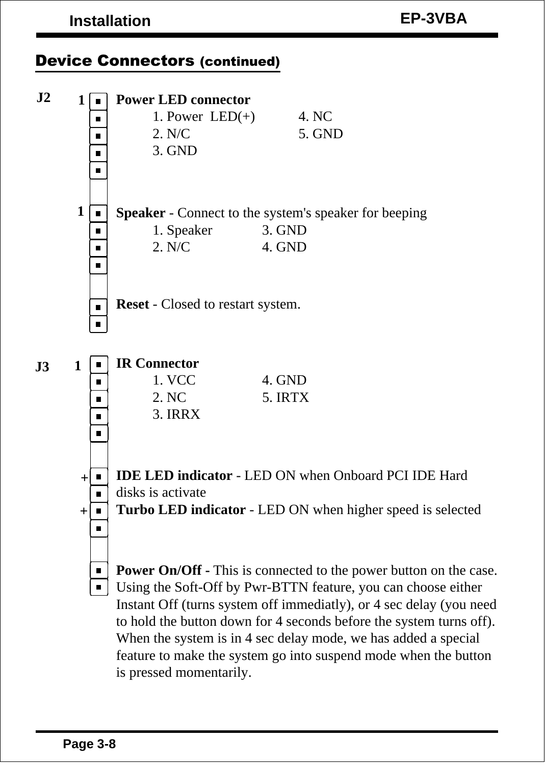#### Device Connectors (continued)

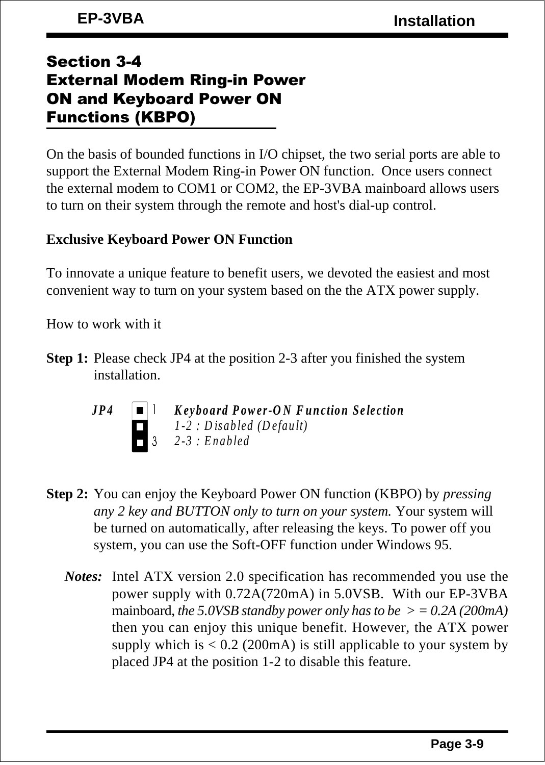#### Section 3-4 External Modem Ring-in Power ON and Keyboard Power ON Functions (KBPO)

On the basis of bounded functions in I/O chipset, the two serial ports are able to support the External Modem Ring-in Power ON function. Once users connect the external modem to COM1 or COM2, the EP-3VBA mainboard allows users to turn on their system through the remote and host's dial-up control.

#### **Exclusive Keyboard Power ON Function**

To innovate a unique feature to benefit users, we devoted the easiest and most convenient way to turn on your system based on the the ATX power supply.

How to work with it

**Step 1:** Please check JP4 at the position 2-3 after you finished the system installation.



*JP4 K eyboard P ower-O N F unction Selection 1-2 : D isabled (Default)2-3 : Enabled* 

- **Step 2:** You can enjoy the Keyboard Power ON function (KBPO) by *pressing any 2 key and BUTTON only to turn on your system.* Your system will be turned on automatically, after releasing the keys. To power off you system, you can use the Soft-OFF function under Windows 95.
	- *Notes:* Intel ATX version 2.0 specification has recommended you use the power supply with 0.72A(720mA) in 5.0VSB. With our EP-3VBA mainboard, *the 5.0VSB standby power only has to be > = 0.2A (200mA)* then you can enjoy this unique benefit. However, the ATX power supply which is  $< 0.2$  (200mA) is still applicable to your system by placed JP4 at the position 1-2 to disable this feature.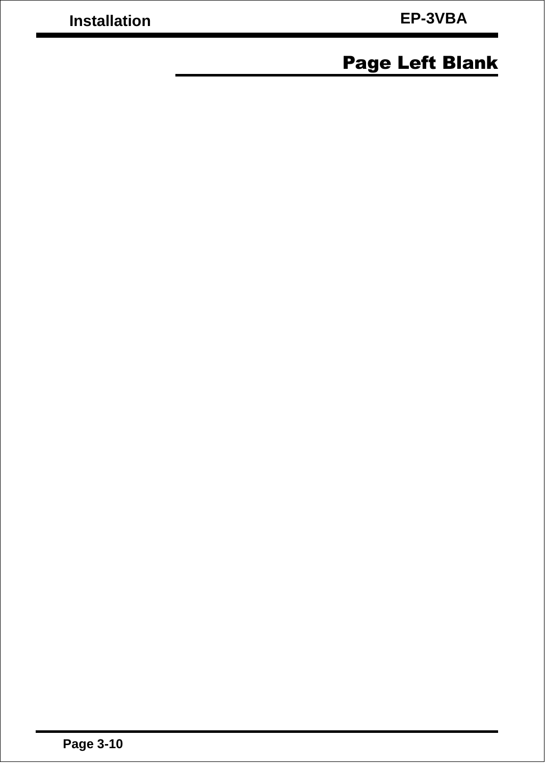# Page Left Blank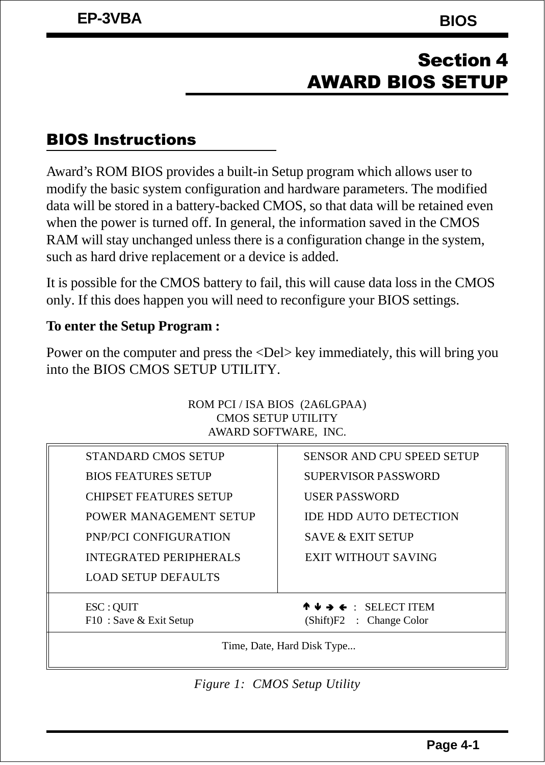# Section 4 AWARD BIOS SETUP

# BIOS Instructions

Award's ROM BIOS provides a built-in Setup program which allows user to modify the basic system configuration and hardware parameters. The modified data will be stored in a battery-backed CMOS, so that data will be retained even when the power is turned off. In general, the information saved in the CMOS RAM will stay unchanged unless there is a configuration change in the system, such as hard drive replacement or a device is added.

It is possible for the CMOS battery to fail, this will cause data loss in the CMOS only. If this does happen you will need to reconfigure your BIOS settings.

#### **To enter the Setup Program :**

Power on the computer and press the <Del> key immediately, this will bring you into the BIOS CMOS SETUP UTILITY.

| CMOS SETUP UTILITY<br>AWARD SOFTWARE, INC.                               |                                   |  |  |  |
|--------------------------------------------------------------------------|-----------------------------------|--|--|--|
| STANDARD CMOS SETUP                                                      | <b>SENSOR AND CPU SPEED SETUP</b> |  |  |  |
| <b>BIOS FEATURES SETUP</b>                                               | SUPERVISOR PASSWORD               |  |  |  |
| <b>CHIPSET FEATURES SETUP</b>                                            | USER PASSWORD                     |  |  |  |
| POWER MANAGEMENT SETUP                                                   | <b>IDE HDD AUTO DETECTION</b>     |  |  |  |
| PNP/PCI CONFIGURATION                                                    | <b>SAVE &amp; EXIT SETUP</b>      |  |  |  |
| INTEGRATED PERIPHERALS                                                   | EXIT WITHOUT SAVING               |  |  |  |
| LOAD SETUP DEFAULTS                                                      |                                   |  |  |  |
| $\uparrow \downarrow \rightarrow \leftarrow$ : SELECT ITEM<br>ESC : QUIT |                                   |  |  |  |
| F10 : Save & Exit Setup<br>$(Shift)F2$ : Change Color                    |                                   |  |  |  |
| Time, Date, Hard Disk Type                                               |                                   |  |  |  |

# ROM PCI / ISA BIOS (2A6LGPAA) CMOS SETUP UTILITY

*Figure 1: CMOS Setup Utility*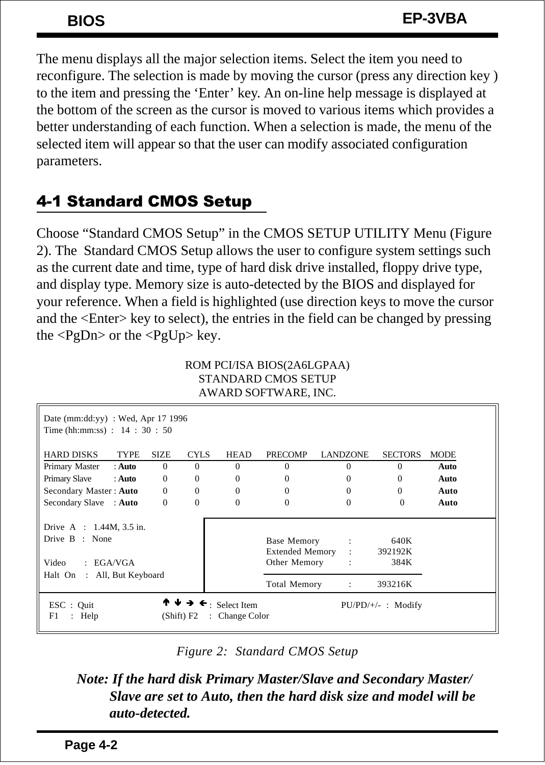The menu displays all the major selection items. Select the item you need to reconfigure. The selection is made by moving the cursor (press any direction key ) to the item and pressing the 'Enter' key. An on-line help message is displayed at the bottom of the screen as the cursor is moved to various items which provides a better understanding of each function. When a selection is made, the menu of the selected item will appear so that the user can modify associated configuration parameters.

# 4-1 Standard CMOS Setup

Choose "Standard CMOS Setup" in the CMOS SETUP UTILITY Menu (Figure 2). The Standard CMOS Setup allows the user to configure system settings such as the current date and time, type of hard disk drive installed, floppy drive type, and display type. Memory size is auto-detected by the BIOS and displayed for your reference. When a field is highlighted (use direction keys to move the cursor and the <Enter> key to select), the entries in the field can be changed by pressing the  $\langle PgDn \rangle$  or the  $\langle PgUp \rangle$  key.

| ROM PCI/ISA BIOS(2A6LGPAA) |
|----------------------------|
| STANDARD CMOS SETUP        |
| AWARD SOFTWARE, INC.       |

| Date (mm:dd:yy) : Wed, Apr 17 1996<br>Time (hh:mm:ss) : $14 : 30 : 50$              |             |              |                                    |                                                                          |                                                       |                                                         |                         |             |
|-------------------------------------------------------------------------------------|-------------|--------------|------------------------------------|--------------------------------------------------------------------------|-------------------------------------------------------|---------------------------------------------------------|-------------------------|-------------|
| HARD DISKS                                                                          | <b>TYPE</b> | <b>SIZE</b>  | <b>CYLS</b>                        | <b>HEAD</b>                                                              | <b>PRECOMP</b>                                        | LANDZONE                                                | <b>SECTORS</b>          | <b>MODE</b> |
| Primary Master                                                                      | $:$ Auto    | $\Omega$     | $\Omega$                           | $\Omega$                                                                 | $\Omega$                                              | $\Omega$                                                | $\Omega$                | Auto        |
| Primary Slave                                                                       | : Auto      | $\mathbf{0}$ | $\Omega$                           | $\mathbf{0}$                                                             | $\Omega$                                              | $\Omega$                                                | $\Omega$                | Auto        |
| Secondary Master: <b>Auto</b>                                                       |             | $\mathbf{0}$ | $\Omega$                           | $\Omega$                                                                 | $\Omega$                                              | $\Omega$                                                | $\Omega$                | Auto        |
| Secondary Slave : <b>Auto</b>                                                       |             | $\mathbf{0}$ | $\theta$                           | $\Omega$                                                                 | $\Omega$                                              | $\mathbf{0}$                                            | $\Omega$                | Auto        |
| Drive $A : 1.44M, 3.5$ in.<br>Drive B: None<br>Video<br>Halt On : All, But Keyboard | EGA/VGA     |              |                                    |                                                                          | Base Memory<br><b>Extended Memory</b><br>Other Memory | $\ddot{\phantom{a}}$<br>diam'r.<br>$\ddot{\phantom{a}}$ | 640K<br>392192K<br>384K |             |
|                                                                                     |             |              |                                    |                                                                          | <b>Total Memory</b>                                   | $\ddot{\phantom{a}}$                                    | 393216K                 |             |
| ESC : Quit<br>: Help<br>F1                                                          |             |              | (Shift) F2<br>$\ddot{\phantom{0}}$ | $\uparrow \uparrow \rightarrow \leftarrow$ : Select Item<br>Change Color |                                                       |                                                         | $PU/PD/+/-$ : Modify    |             |

*Figure 2: Standard CMOS Setup*

*Note: If the hard disk Primary Master/Slave and Secondary Master/ Slave are set to Auto, then the hard disk size and model will be auto-detected.*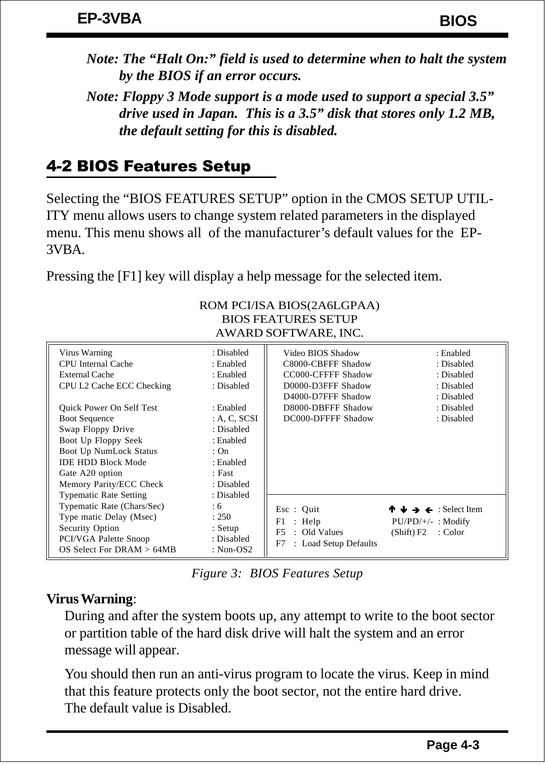*Note: The "Halt On:" field is used to determine when to halt the system by the BIOS if an error occurs.*

*Note: Floppy 3 Mode support is a mode used to support a special 3.5" drive used in Japan. This is a 3.5" disk that stores only 1.2 MB, the default setting for this is disabled.*

# 4-2 BIOS Features Setup

Selecting the "BIOS FEATURES SETUP" option in the CMOS SETUP UTIL-ITY menu allows users to change system related parameters in the displayed menu. This menu shows all of the manufacturer's default values for the EP-3VBA.

Pressing the [F1] key will display a help message for the selected item.

| AWAND SUPTWANE, INC.                                                                                                                                               |                                                                                               |                                                                                                                                                       |                                                                                                        |  |  |
|--------------------------------------------------------------------------------------------------------------------------------------------------------------------|-----------------------------------------------------------------------------------------------|-------------------------------------------------------------------------------------------------------------------------------------------------------|--------------------------------------------------------------------------------------------------------|--|--|
| Virus Warning<br>CPU Internal Cache<br>External Cache<br>CPU L2 Cache ECC Checking<br><b>Ouick Power On Self Test</b><br><b>Boot Sequence</b><br>Swap Floppy Drive | : Disabled<br>: Enabled<br>: Enabled<br>: Disabled<br>: Enabled<br>: A, C, SCSI<br>: Disabled | Video BIOS Shadow<br>C8000-CBFFF Shadow<br>CC000-CFFFF Shadow<br>D0000-D3FFF Shadow<br>D4000-D7FFF Shadow<br>D8000-DBFFF Shadow<br>DC000-DFFFF Shadow | : Enabled<br>: Disabled<br>: Disabled<br>: Disabled<br>: Disabled<br>: Disabled<br>: Disabled          |  |  |
| Boot Up Floppy Seek<br><b>Boot Up NumLock Status</b><br><b>IDE HDD Block Mode</b><br>Gate A20 option<br>Memory Parity/ECC Check<br><b>Typematic Rate Setting</b>   | : Enabled<br>: On<br>: Enabled<br>$:$ Fast<br>: Disabled<br>: Disabled                        |                                                                                                                                                       |                                                                                                        |  |  |
| Typematic Rate (Chars/Sec)<br>Type matic Delay (Msec)<br>Security Option<br>PCI/VGA Palette Snoop<br>OS Select For $DRAM > 64MB$                                   | :6<br>: 250<br>: Setup<br>: Disabled<br>: Non- $OS2$                                          | Esc: Ouit<br>$F1$ : Help<br>: Old Values<br>F5.<br>F7<br>: Load Setup Defaults                                                                        | $\uparrow \uparrow \rightarrow \leftarrow$ : Select Item<br>$PU/PD/+/-$ : Modify<br>(Shift) F2 : Color |  |  |

ROM PCI/ISA BIOS(2A6LGPAA) BIOS FEATURES SETUP AWARD SOFTWARE, INC.

*Figure 3: BIOS Features Setup*

#### **Virus Warning**:

During and after the system boots up, any attempt to write to the boot sector or partition table of the hard disk drive will halt the system and an error message will appear.

You should then run an anti-virus program to locate the virus. Keep in mind that this feature protects only the boot sector, not the entire hard drive. The default value is Disabled.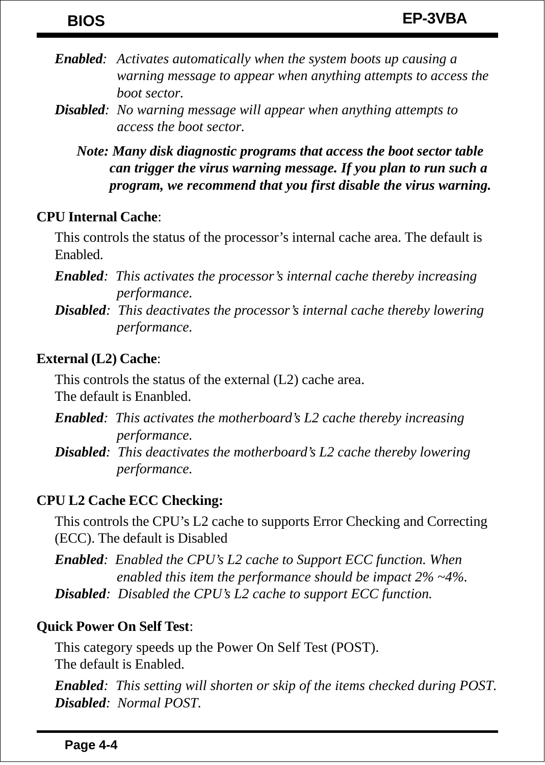- *Enabled: Activates automatically when the system boots up causing a warning message to appear when anything attempts to access the boot sector.*
- *Disabled: No warning message will appear when anything attempts to access the boot sector.*
	- *Note: Many disk diagnostic programs that access the boot sector table can trigger the virus warning message. If you plan to run such a program, we recommend that you first disable the virus warning.*

#### **CPU Internal Cache**:

This controls the status of the processor's internal cache area. The default is Enabled.

*Enabled: This activates the processor's internal cache thereby increasing performance.*

*Disabled: This deactivates the processor's internal cache thereby lowering performance.*

#### **External (L2) Cache**:

This controls the status of the external (L2) cache area. The default is Enanbled.

*Enabled: This activates the motherboard's L2 cache thereby increasing performance.*

*Disabled: This deactivates the motherboard's L2 cache thereby lowering performance.*

#### **CPU L2 Cache ECC Checking:**

This controls the CPU's L2 cache to supports Error Checking and Correcting (ECC). The default is Disabled

*Enabled: Enabled the CPU's L2 cache to Support ECC function. When enabled this item the performance should be impact 2% ~4%. Disabled: Disabled the CPU's L2 cache to support ECC function.*

#### **Quick Power On Self Test**:

This category speeds up the Power On Self Test (POST). The default is Enabled.

*Enabled: This setting will shorten or skip of the items checked during POST. Disabled: Normal POST.*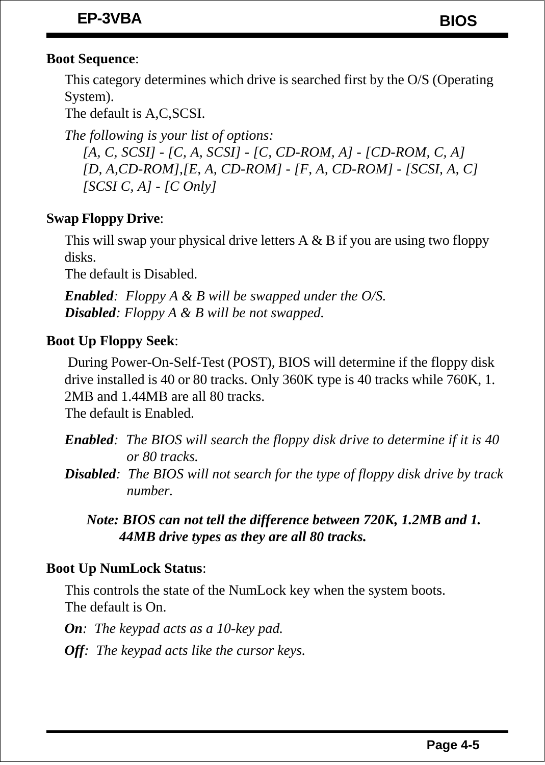#### **Boot Sequence**:

This category determines which drive is searched first by the O/S (Operating System).

The default is A,C,SCSI.

*The following is your list of options: [A, C, SCSI] - [C, A, SCSI] - [C, CD-ROM, A] - [CD-ROM, C, A] [D, A,CD-ROM],[E, A, CD-ROM] - [F, A, CD-ROM] - [SCSI, A, C] [SCSI C, A] - [C Only]*

#### **Swap Floppy Drive**:

This will swap your physical drive letters  $A \& B$  if you are using two floppy disks.

The default is Disabled.

*Enabled: Floppy A & B will be swapped under the O/S. Disabled: Floppy A & B will be not swapped.*

#### **Boot Up Floppy Seek**:

 During Power-On-Self-Test (POST), BIOS will determine if the floppy disk drive installed is 40 or 80 tracks. Only 360K type is 40 tracks while 760K, 1. 2MB and 1.44MB are all 80 tracks.

The default is Enabled.

*Enabled: The BIOS will search the floppy disk drive to determine if it is 40 or 80 tracks.*

*Disabled: The BIOS will not search for the type of floppy disk drive by track number.*

*Note: BIOS can not tell the difference between 720K, 1.2MB and 1. 44MB drive types as they are all 80 tracks.*

#### **Boot Up NumLock Status**:

This controls the state of the NumLock key when the system boots. The default is On.

*On: The keypad acts as a 10-key pad.*

*Off: The keypad acts like the cursor keys.*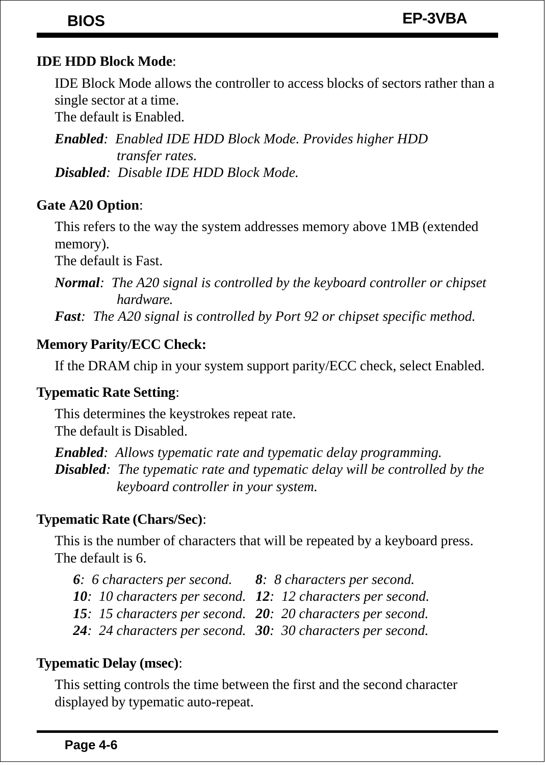#### **IDE HDD Block Mode**:

IDE Block Mode allows the controller to access blocks of sectors rather than a single sector at a time.

The default is Enabled.

*Enabled: Enabled IDE HDD Block Mode. Provides higher HDD transfer rates. Disabled: Disable IDE HDD Block Mode.*

#### **Gate A20 Option**:

This refers to the way the system addresses memory above 1MB (extended memory).

The default is Fast.

*Normal: The A20 signal is controlled by the keyboard controller or chipset hardware.*

*Fast: The A20 signal is controlled by Port 92 or chipset specific method.*

#### **Memory Parity/ECC Check:**

If the DRAM chip in your system support parity/ECC check, select Enabled.

#### **Typematic Rate Setting**:

This determines the keystrokes repeat rate. The default is Disabled.

*Enabled: Allows typematic rate and typematic delay programming. Disabled: The typematic rate and typematic delay will be controlled by the keyboard controller in your system.*

#### **Typematic Rate (Chars/Sec)**:

This is the number of characters that will be repeated by a keyboard press. The default is 6.

*: 6 characters per second. 8: 8 characters per second. : 10 characters per second. 12: 12 characters per second. : 15 characters per second. 20: 20 characters per second. : 24 characters per second. 30: 30 characters per second.*

#### **Typematic Delay (msec)**:

This setting controls the time between the first and the second character displayed by typematic auto-repeat.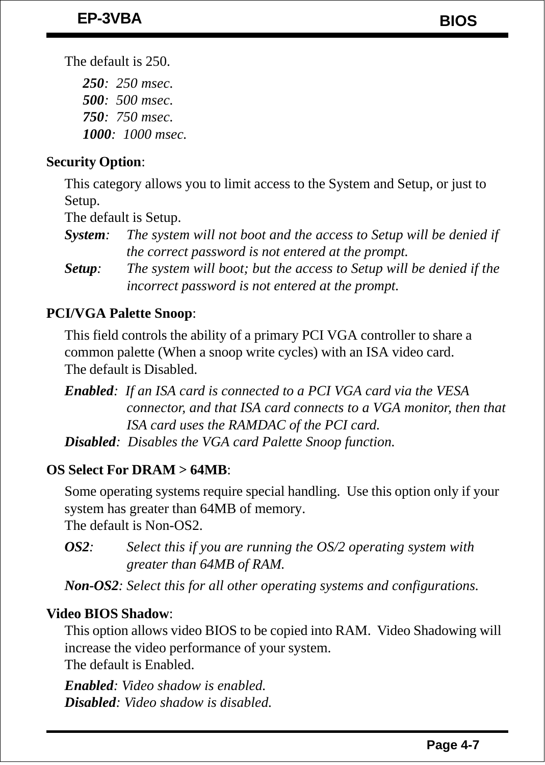The default is 250.

*: 250 msec. : 500 msec. : 750 msec. : 1000 msec.*

#### **Security Option**:

This category allows you to limit access to the System and Setup, or just to Setup.

The default is Setup.

- *System: The system will not boot and the access to Setup will be denied if the correct password is not entered at the prompt.*
- *Setup: The system will boot; but the access to Setup will be denied if the incorrect password is not entered at the prompt.*

#### **PCI/VGA Palette Snoop**:

This field controls the ability of a primary PCI VGA controller to share a common palette (When a snoop write cycles) with an ISA video card. The default is Disabled.

*Enabled: If an ISA card is connected to a PCI VGA card via the VESA connector, and that ISA card connects to a VGA monitor, then that ISA card uses the RAMDAC of the PCI card. Disabled: Disables the VGA card Palette Snoop function.*

#### **OS Select For DRAM > 64MB**:

Some operating systems require special handling. Use this option only if your system has greater than 64MB of memory.

The default is Non-OS2.

*OS2: Select this if you are running the OS/2 operating system with greater than 64MB of RAM.*

*Non-OS2: Select this for all other operating systems and configurations.*

#### **Video BIOS Shadow**:

This option allows video BIOS to be copied into RAM. Video Shadowing will increase the video performance of your system.

The default is Enabled.

*Enabled: Video shadow is enabled. Disabled: Video shadow is disabled.*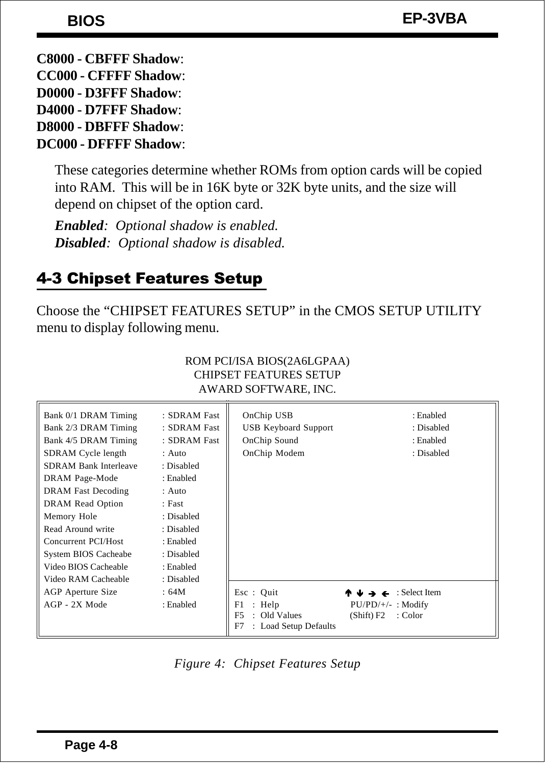**C8000 - CBFFF Shadow**: **CC000 - CFFFF Shadow**: **D0000 - D3FFF Shadow**: **D4000 - D7FFF Shadow**: **D8000 - DBFFF Shadow**: **DC000 - DFFFF Shadow**:

> These categories determine whether ROMs from option cards will be copied into RAM. This will be in 16K byte or 32K byte units, and the size will depend on chipset of the option card.

*Enabled: Optional shadow is enabled. Disabled: Optional shadow is disabled.*

# 4-3 Chipset Features Setup

Choose the "CHIPSET FEATURES SETUP" in the CMOS SETUP UTILITY menu to display following menu.

| Bank 0/1 DRAM Timing         | : SDRAM Fast | OnChip USB                  | : Enabled                               |
|------------------------------|--------------|-----------------------------|-----------------------------------------|
| Bank 2/3 DRAM Timing         | : SDRAM Fast | <b>USB Keyboard Support</b> | : Disabled                              |
| Bank 4/5 DRAM Timing         | : SDRAM Fast | OnChip Sound                | : Enabled                               |
| SDRAM Cycle length           | : Auto       | OnChip Modem                | : Disabled                              |
| <b>SDRAM Bank Interleave</b> | : Disabled   |                             |                                         |
| DRAM Page-Mode               | : Enabled    |                             |                                         |
| <b>DRAM</b> Fast Decoding    | : Auto       |                             |                                         |
| DRAM Read Option             | : Fast       |                             |                                         |
| Memory Hole                  | : Disabled   |                             |                                         |
| Read Around write            | : Disabled   |                             |                                         |
| Concurrent PCI/Host          | : Enabled    |                             |                                         |
| System BIOS Cacheabe         | : Disabled   |                             |                                         |
| Video BIOS Cacheable         | : Enabled    |                             |                                         |
| Video RAM Cacheable          | : Disabled   |                             |                                         |
| AGP Aperture Size            | :64M         | Esc : Out                   | $\bullet \bullet \bullet$ : Select Item |
| $AGP - 2X$ Mode              | : Enabled    | F1<br>: Help                | $PU/PD/+/-$ : Modify                    |
|                              |              | : Old Values<br>F5          | (Shift) F2<br>: Color                   |
|                              |              | F7<br>: Load Setup Defaults |                                         |

#### ROM PCI/ISA BIOS(2A6LGPAA) CHIPSET FEATURES SETUP AWARD SOFTWARE, INC.

*Figure 4: Chipset Features Setup*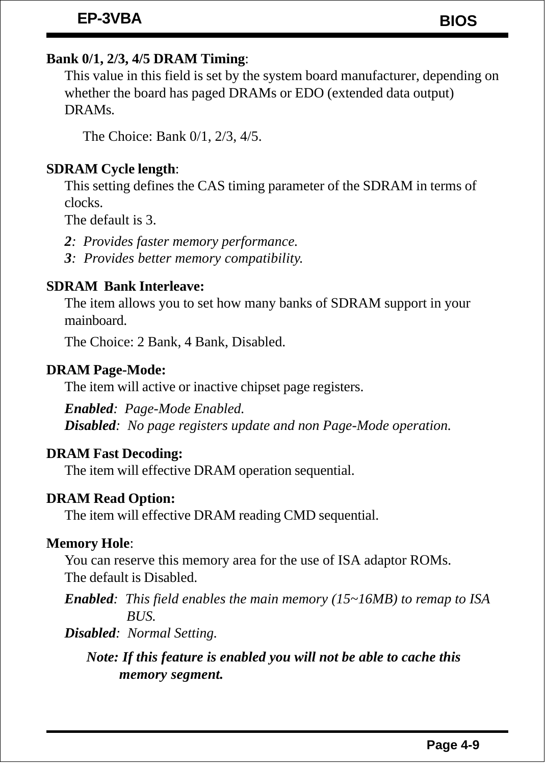#### **Bank 0/1, 2/3, 4/5 DRAM Timing**:

This value in this field is set by the system board manufacturer, depending on whether the board has paged DRAMs or EDO (extended data output) DRAMs.

The Choice: Bank 0/1, 2/3, 4/5.

#### **SDRAM Cycle length**:

This setting defines the CAS timing parameter of the SDRAM in terms of clocks.

The default is 3.

*2: Provides faster memory performance.*

*3: Provides better memory compatibility.*

#### **SDRAM Bank Interleave:**

The item allows you to set how many banks of SDRAM support in your mainboard.

The Choice: 2 Bank, 4 Bank, Disabled.

#### **DRAM Page-Mode:**

The item will active or inactive chipset page registers.

*Enabled: Page-Mode Enabled. Disabled: No page registers update and non Page-Mode operation.*

#### **DRAM Fast Decoding:**

The item will effective DRAM operation sequential.

#### **DRAM Read Option:**

The item will effective DRAM reading CMD sequential.

#### **Memory Hole**:

You can reserve this memory area for the use of ISA adaptor ROMs. The default is Disabled.

*Enabled: This field enables the main memory (15~16MB) to remap to ISA BUS.*

*Disabled: Normal Setting.*

*Note: If this feature is enabled you will not be able to cache this memory segment.*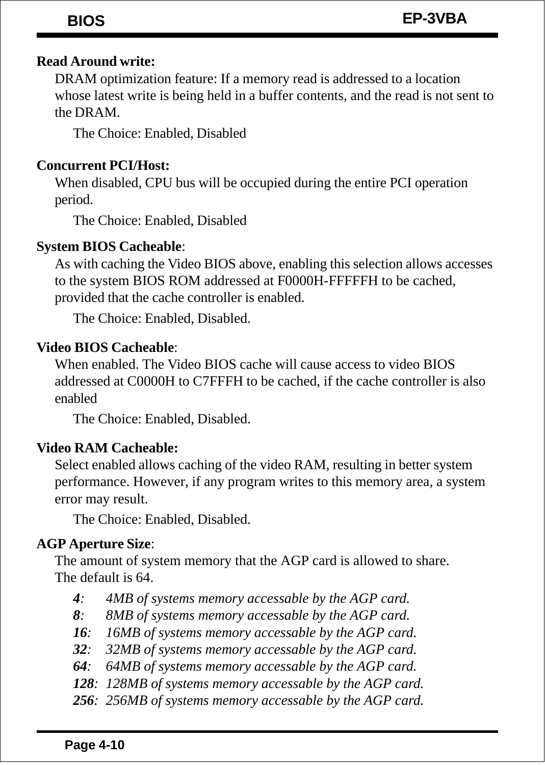#### **Read Around write:**

DRAM optimization feature: If a memory read is addressed to a location whose latest write is being held in a buffer contents, and the read is not sent to the DRAM.

The Choice: Enabled, Disabled

#### **Concurrent PCI/Host:**

When disabled, CPU bus will be occupied during the entire PCI operation period.

The Choice: Enabled, Disabled

#### **System BIOS Cacheable**:

As with caching the Video BIOS above, enabling this selection allows accesses to the system BIOS ROM addressed at F0000H-FFFFFH to be cached, provided that the cache controller is enabled.

The Choice: Enabled, Disabled.

#### **Video BIOS Cacheable**:

When enabled. The Video BIOS cache will cause access to video BIOS addressed at C0000H to C7FFFH to be cached, if the cache controller is also enabled

The Choice: Enabled, Disabled.

#### **Video RAM Cacheable:**

Select enabled allows caching of the video RAM, resulting in better system performance. However, if any program writes to this memory area, a system error may result.

The Choice: Enabled, Disabled.

#### **AGP Aperture Size**:

The amount of system memory that the AGP card is allowed to share. The default is 64.

- *4: 4MB of systems memory accessable by the AGP card.*
- *8: 8MB of systems memory accessable by the AGP card.*
- *16: 16MB of systems memory accessable by the AGP card.*
- *32: 32MB of systems memory accessable by the AGP card.*
- *64: 64MB of systems memory accessable by the AGP card.*
- *128: 128MB of systems memory accessable by the AGP card.*
- *256: 256MB of systems memory accessable by the AGP card.*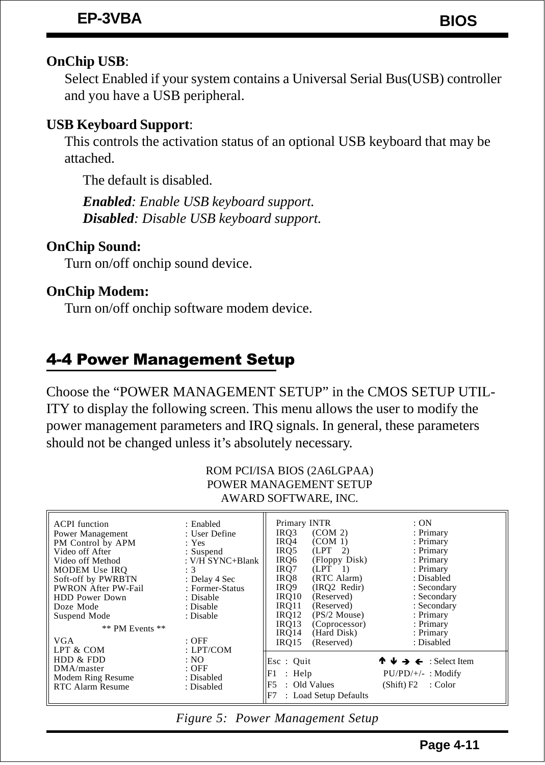#### **OnChip USB**:

Select Enabled if your system contains a Universal Serial Bus(USB) controller and you have a USB peripheral.

#### **USB Keyboard Support**:

This controls the activation status of an optional USB keyboard that may be attached.

The default is disabled.

*Enabled: Enable USB keyboard support. Disabled: Disable USB keyboard support.*

#### **OnChip Sound:**

Turn on/off onchip sound device.

#### **OnChip Modem:**

Turn on/off onchip software modem device.

# 4-4 Power Management Setup

Choose the "POWER MANAGEMENT SETUP" in the CMOS SETUP UTIL-ITY to display the following screen. This menu allows the user to modify the power management parameters and IRQ signals. In general, these parameters should not be changed unless it's absolutely necessary.

#### ROM PCI/ISA BIOS (2A6LGPAA) POWER MANAGEMENT SETUP AWARD SOFTWARE, INC.

| <b>ACPI</b> function<br>Power Management<br>PM Control by APM<br>Video off After<br>Video off Method<br>MODEM Use IRO<br>Soft-off by PWRBTN<br><b>PWRON After PW-Fail</b><br>HDD Power Down<br>Doze Mode<br>Suspend Mode<br>** PM Events **<br>VGA | : Enabled<br>: User Define<br>: Yes<br>: Suspend<br>: V/H SYNC+Blank<br>:3<br>: Delay 4 Sec<br>: Former-Status<br>: Disable<br>: Disable<br>: Disable<br>$:$ OFF | Primary INTR<br>(COM 2)<br>IRO3<br>IRO4<br>(COM 1)<br>$IRO5$ (LPT 2)<br>$IRO6$ (Floppy Disk)<br>IRO7<br>$(LPT \t1)$<br>(RTC Alarm)<br>IRO8<br>(IRO2 Redir)<br>IRO9<br>IRO10<br>(Reserved)<br>IRO11 (Reserved)<br>$(PS/2 \text{ Mouse})$<br>IRO12<br>IRQ13 (Coprocessor)<br>(Hard Disk)<br>IRO14<br>IRO15<br>(Reserved) | : ON<br>: Primary<br>: Primary<br>: Primary<br>: Primary<br>: Primary<br>: Disabled<br>: Secondary<br>: Secondary<br>: Secondary<br>: Primary<br>: Primary<br>: Primary<br>: Disabled |
|----------------------------------------------------------------------------------------------------------------------------------------------------------------------------------------------------------------------------------------------------|------------------------------------------------------------------------------------------------------------------------------------------------------------------|------------------------------------------------------------------------------------------------------------------------------------------------------------------------------------------------------------------------------------------------------------------------------------------------------------------------|---------------------------------------------------------------------------------------------------------------------------------------------------------------------------------------|
| LPT & COM<br>HDD & FDD                                                                                                                                                                                                                             | : LPT/COM<br>: NO                                                                                                                                                |                                                                                                                                                                                                                                                                                                                        | $\uparrow \uparrow \rightarrow \leftarrow$ : Select Item                                                                                                                              |
| DMA/master                                                                                                                                                                                                                                         | $:$ OFF                                                                                                                                                          | Esc: Ouit<br>F1<br>$\therefore$ Help                                                                                                                                                                                                                                                                                   | $PU/PD/+/-$ : Modify                                                                                                                                                                  |
| Modem Ring Resume                                                                                                                                                                                                                                  | : Disabled                                                                                                                                                       | F5<br>: Old Values                                                                                                                                                                                                                                                                                                     | (Shift) F2<br>: Color                                                                                                                                                                 |
| RTC Alarm Resume                                                                                                                                                                                                                                   | : Disabled                                                                                                                                                       | F7<br>: Load Setup Defaults                                                                                                                                                                                                                                                                                            |                                                                                                                                                                                       |

*Figure 5: Power Management Setup*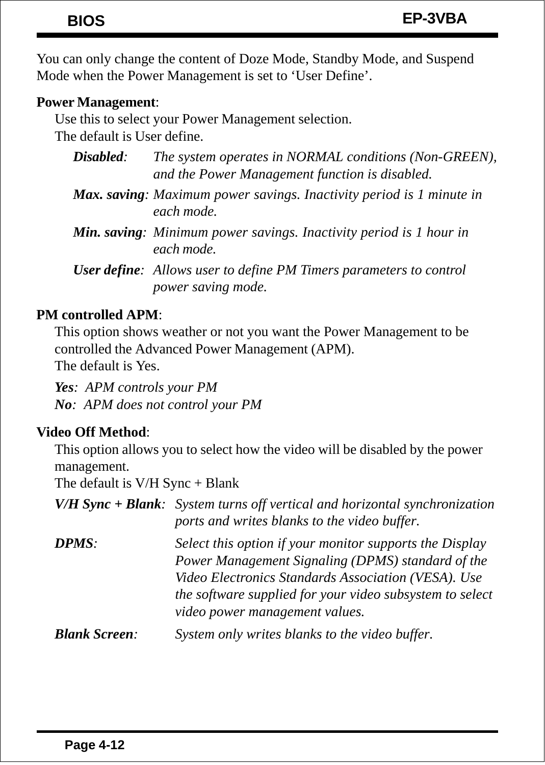You can only change the content of Doze Mode, Standby Mode, and Suspend Mode when the Power Management is set to 'User Define'.

#### **Power Management**:

Use this to select your Power Management selection. The default is User define.

| Disabled: | The system operates in NORMAL conditions (Non-GREEN),                                           |
|-----------|-------------------------------------------------------------------------------------------------|
|           | and the Power Management function is disabled.                                                  |
|           | Max. saving: Maximum power savings. Inactivity period is 1 minute in<br>each mode.              |
|           | <b>Min. saving:</b> Minimum power savings. Inactivity period is 1 hour in<br>each mode.         |
|           | <b>User define:</b> Allows user to define PM Timers parameters to control<br>power saving mode. |

#### **PM controlled APM**:

This option shows weather or not you want the Power Management to be controlled the Advanced Power Management (APM).

The default is Yes.

*Yes: APM controls your PM No: APM does not control your PM*

#### **Video Off Method**:

This option allows you to select how the video will be disabled by the power management.

The default is V/H Sync + Blank

|                      | $V/H$ Sync + Blank: System turns off vertical and horizontal synchronization<br>ports and writes blanks to the video buffer.                                                                                                                                      |
|----------------------|-------------------------------------------------------------------------------------------------------------------------------------------------------------------------------------------------------------------------------------------------------------------|
| <b>DPMS:</b>         | Select this option if your monitor supports the Display<br>Power Management Signaling (DPMS) standard of the<br>Video Electronics Standards Association (VESA). Use<br>the software supplied for your video subsystem to select<br>video power management values. |
| <b>Blank Screen:</b> | System only writes blanks to the video buffer.                                                                                                                                                                                                                    |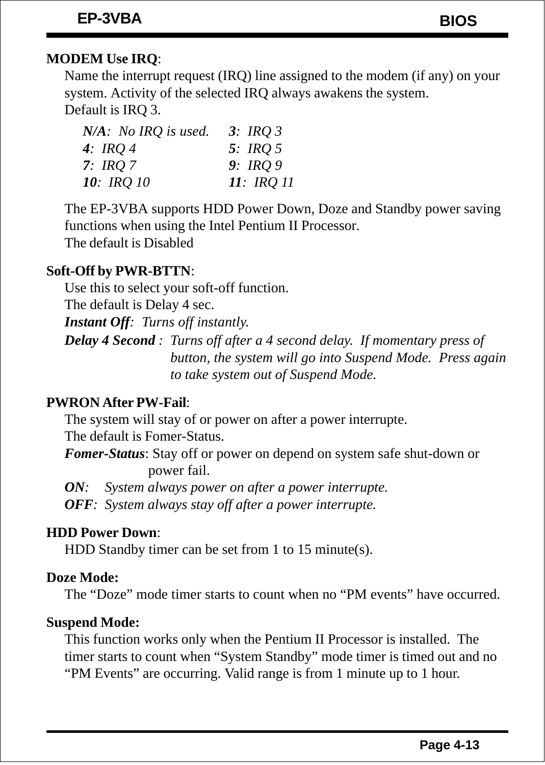#### **MODEM Use IRQ**:

Name the interrupt request (IRQ) line assigned to the modem (if any) on your system. Activity of the selected IRQ always awakens the system. Default is IRQ 3.

| N/A: No IRQ is used. | 3: IRO3   |
|----------------------|-----------|
| 4: IRQ 4             | 5: $IRO5$ |
| 7: IRO 7             | 9: IRO9   |
| 10: IRQ 10           | 11: IRQ11 |

The EP-3VBA supports HDD Power Down, Doze and Standby power saving functions when using the Intel Pentium II Processor. The default is Disabled

#### **Soft-Off by PWR-BTTN**:

Use this to select your soft-off function. The default is Delay 4 sec.

*Instant Off: Turns off instantly.*

*Delay 4 Second : Turns off after a 4 second delay. If momentary press of button, the system will go into Suspend Mode. Press again to take system out of Suspend Mode.*

#### **PWRON After PW-Fail**:

The system will stay of or power on after a power interrupte.

The default is Fomer-Status.

*Fomer-Status*: Stay off or power on depend on system safe shut-down or power fail.

*ON: System always power on after a power interrupte.*

*OFF: System always stay off after a power interrupte.*

#### **HDD Power Down**:

HDD Standby timer can be set from 1 to 15 minute(s).

#### **Doze Mode:**

The "Doze" mode timer starts to count when no "PM events" have occurred.

#### **Suspend Mode:**

This function works only when the Pentium II Processor is installed. The timer starts to count when "System Standby" mode timer is timed out and no "PM Events" are occurring. Valid range is from 1 minute up to 1 hour.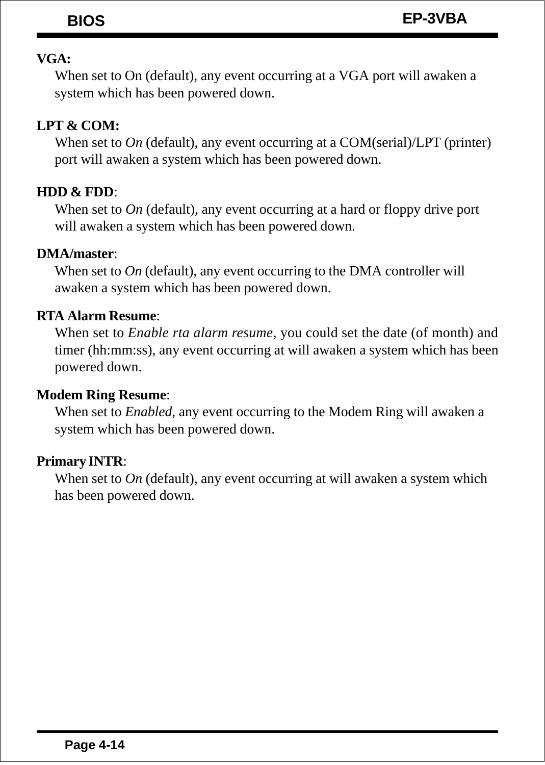#### **VGA:**

When set to On (default), any event occurring at a VGA port will awaken a system which has been powered down.

#### **LPT & COM:**

When set to *On* (default), any event occurring at a COM(serial)/LPT (printer) port will awaken a system which has been powered down.

#### **HDD & FDD**:

When set to *On* (default), any event occurring at a hard or floppy drive port will awaken a system which has been powered down.

#### **DMA/master**:

When set to *On* (default), any event occurring to the DMA controller will awaken a system which has been powered down.

#### **RTA Alarm Resume**:

When set to *Enable rta alarm resume,* you could set the date (of month) and timer (hh:mm:ss), any event occurring at will awaken a system which has been powered down.

#### **Modem Ring Resume**:

When set to *Enabled*, any event occurring to the Modem Ring will awaken a system which has been powered down.

#### **Primary INTR**:

When set to *On* (default), any event occurring at will awaken a system which has been powered down.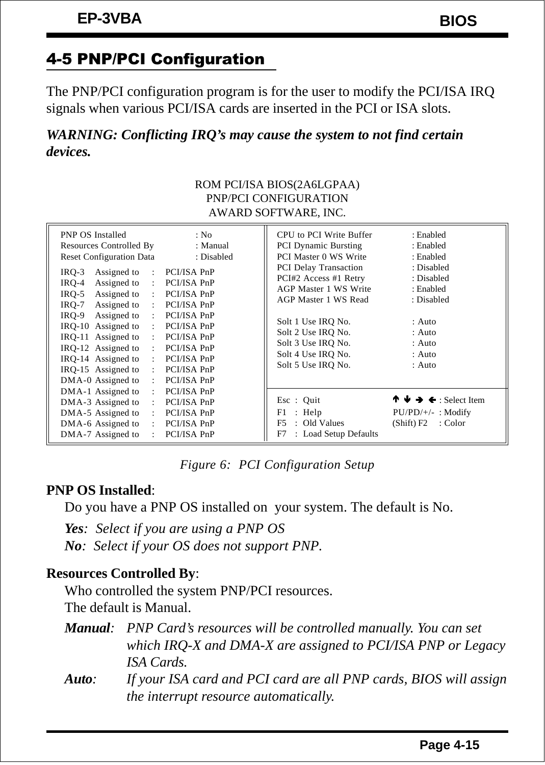# 4-5 PNP/PCI Configuration

The PNP/PCI configuration program is for the user to modify the PCI/ISA IRQ signals when various PCI/ISA cards are inserted in the PCI or ISA slots.

ROM PCI/ISA BIOS(2A6LGPAA)

#### *WARNING: Conflicting IRQ's may cause the system to not find certain devices.*

| PNP/PCI CONFIGURATION<br>AWARD SOFTWARE, INC.                                                                                                                                                                                                                                                                                                                                                                                                                                                                                                                   |                                                                                                                                                                                                      |                                                                                                                                                                                                                                                                                                         |                                                                                                                                                |  |  |
|-----------------------------------------------------------------------------------------------------------------------------------------------------------------------------------------------------------------------------------------------------------------------------------------------------------------------------------------------------------------------------------------------------------------------------------------------------------------------------------------------------------------------------------------------------------------|------------------------------------------------------------------------------------------------------------------------------------------------------------------------------------------------------|---------------------------------------------------------------------------------------------------------------------------------------------------------------------------------------------------------------------------------------------------------------------------------------------------------|------------------------------------------------------------------------------------------------------------------------------------------------|--|--|
| <b>PNP OS Installed</b><br>Resources Controlled By<br><b>Reset Configuration Data</b><br>$IRO-3$<br>Assigned to<br>$IRQ-4$<br>Assigned to<br>$\mathbb{R}^{\mathbb{Z}}$<br>$IRO-5$<br>Assigned to :<br>$IRO-7$<br>Assigned to<br>$\mathbb{R}^{\mathbb{Z}}$<br>Assigned to<br>$IRO-9$<br>$\mathcal{L}$<br>IRQ-10 Assigned to<br>$\mathcal{L}$<br>IRQ-11 Assigned to<br>$\mathbb{R}^{\mathbb{Z}}$<br>IRO-12 Assigned to<br>$\mathbb{R}^{\mathbb{Z}}$<br>IRO-14 Assigned to<br>$\mathbf{r}$<br>IRQ-15 Assigned to<br>$\mathbb{R}^{\mathbb{Z}}$<br>DMA-0 Assigned to | : No.<br>: Manual<br>: Disabled<br>PCI/ISA PnP<br>PCI/ISA PnP<br>PCI/ISA PnP<br>PCI/ISA PnP<br>PCI/ISA PnP<br>PCI/ISA PnP<br>PCI/ISA PnP<br>PCI/ISA PnP<br>PCI/ISA PnP<br>PCI/ISA PnP<br>PCI/ISA PnP | CPU to PCI Write Buffer<br><b>PCI Dynamic Bursting</b><br>PCI Master 0 WS Write<br><b>PCI Delay Transaction</b><br>PCI#2 Access #1 Retry<br>AGP Master 1 WS Write<br>AGP Master 1 WS Read<br>Solt 1 Use IRO No.<br>Solt 2 Use IRQ No.<br>Solt 3 Use IRO No.<br>Solt 4 Use IRO No.<br>Solt 5 Use IRO No. | : Enabled<br>: Enabled<br>: Enabled<br>: Disabled<br>: Disabled<br>: Enabled<br>: Disabled<br>: Auto<br>$:$ Auto<br>: Auto<br>: Auto<br>: Auto |  |  |
| DMA-1 Assigned to<br>$\mathcal{L}$<br>DMA-3 Assigned to<br>$\mathbb{R}^{\mathbb{Z}}$<br>DMA-5 Assigned to<br>$\mathbf{r}$<br>DMA-6 Assigned to<br>$\mathbb{R}^{\mathbb{Z}}$<br>DMA-7 Assigned to                                                                                                                                                                                                                                                                                                                                                                | PCI/ISA PnP<br>PCI/ISA PnP<br>PCI/ISA PnP<br>PCI/ISA PnP<br>PCI/ISA PnP                                                                                                                              | Esc : Quit<br>$\therefore$ Help<br>F1<br>F <sub>5</sub><br>: Old Values<br>F7<br>: Load Setup Defaults                                                                                                                                                                                                  | $\uparrow \uparrow \rightarrow \leftarrow$ : Select Item<br>$PU/PD/+/-$ : Modify<br>(Shift) F2<br>: Color                                      |  |  |

*Figure 6: PCI Configuration Setup*

#### **PNP OS Installed**:

Do you have a PNP OS installed on your system. The default is No.

*Yes: Select if you are using a PNP OS*

*No: Select if your OS does not support PNP.*

#### **Resources Controlled By**:

Who controlled the system PNP/PCI resources. The default is Manual.

- *Manual: PNP Card's resources will be controlled manually. You can set which IRQ-X and DMA-X are assigned to PCI/ISA PNP or Legacy ISA Cards.*
- *Auto: If your ISA card and PCI card are all PNP cards, BIOS will assign the interrupt resource automatically.*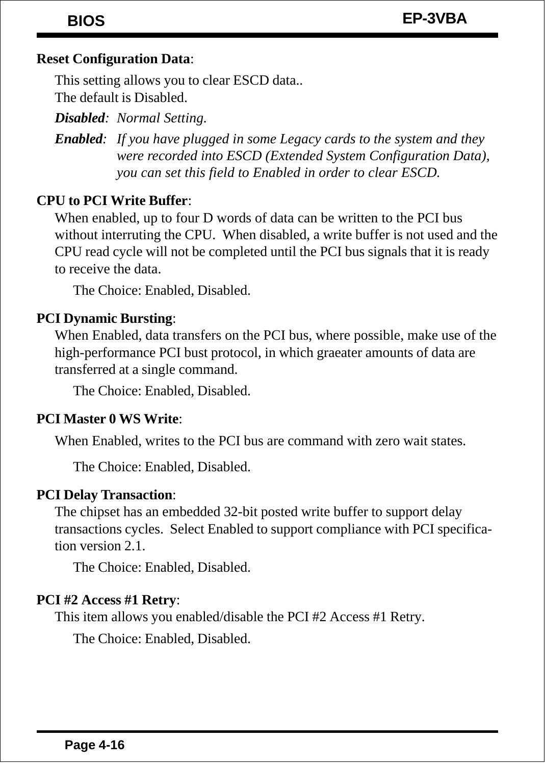#### **Reset Configuration Data**:

This setting allows you to clear ESCD data.. The default is Disabled.

*Disabled: Normal Setting.*

*Enabled: If you have plugged in some Legacy cards to the system and they were recorded into ESCD (Extended System Configuration Data), you can set this field to Enabled in order to clear ESCD.*

#### **CPU to PCI Write Buffer**:

When enabled, up to four D words of data can be written to the PCI bus without interruting the CPU. When disabled, a write buffer is not used and the CPU read cycle will not be completed until the PCI bus signals that it is ready to receive the data.

The Choice: Enabled, Disabled.

#### **PCI Dynamic Bursting**:

When Enabled, data transfers on the PCI bus, where possible, make use of the high-performance PCI bust protocol, in which graeater amounts of data are transferred at a single command.

The Choice: Enabled, Disabled.

#### **PCI Master 0 WS Write**:

When Enabled, writes to the PCI bus are command with zero wait states.

The Choice: Enabled, Disabled.

#### **PCI Delay Transaction**:

The chipset has an embedded 32-bit posted write buffer to support delay transactions cycles. Select Enabled to support compliance with PCI specification version 2.1.

The Choice: Enabled, Disabled.

#### **PCI #2 Access #1 Retry**:

This item allows you enabled/disable the PCI #2 Access #1 Retry.

The Choice: Enabled, Disabled.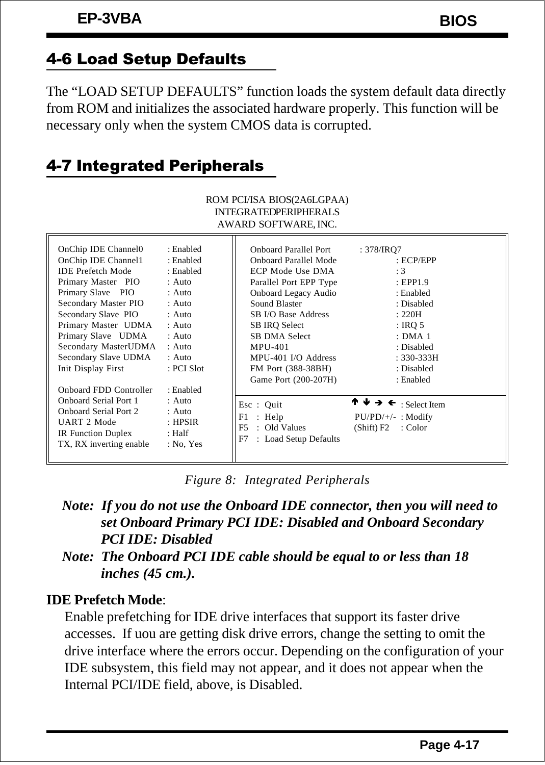# 4-6 Load Setup Defaults

The "LOAD SETUP DEFAULTS" function loads the system default data directly from ROM and initializes the associated hardware properly. This function will be necessary only when the system CMOS data is corrupted.

### 4-7 Integrated Peripherals

| ROM PCI/ISA BIOS(2A6LGPAA)<br><b>INTEGRATEDPERIPHERALS</b><br>AWARD SOFTWARE, INC.                                                                                                                                                                                                                                                                                                                                                            |                                                                                                                                                                                                                          |                                                                                                                                                                                                                                                                                                                                                                                                                  |                                                                                                                                                                                                                                                                               |  |  |
|-----------------------------------------------------------------------------------------------------------------------------------------------------------------------------------------------------------------------------------------------------------------------------------------------------------------------------------------------------------------------------------------------------------------------------------------------|--------------------------------------------------------------------------------------------------------------------------------------------------------------------------------------------------------------------------|------------------------------------------------------------------------------------------------------------------------------------------------------------------------------------------------------------------------------------------------------------------------------------------------------------------------------------------------------------------------------------------------------------------|-------------------------------------------------------------------------------------------------------------------------------------------------------------------------------------------------------------------------------------------------------------------------------|--|--|
| OnChip IDE Channel0<br>OnChip IDE Channel1<br><b>IDE Prefetch Mode</b><br>Primary Master PIO<br>Primary Slave PIO<br>Secondary Master PIO<br>Secondary Slave PIO<br>Primary Master UDMA<br>Primary Slave UDMA<br>Secondary MasterUDMA<br>Secondary Slave UDMA<br>Init Display First<br>Onboard FDD Controller<br>Onboard Serial Port 1<br>Onboard Serial Port 2<br><b>UART 2 Mode</b><br><b>IR Function Duplex</b><br>TX, RX inverting enable | : Enabled<br>: Enabled<br>: Enabled<br>$:$ Auto<br>: Auto<br>$:$ Auto<br>$:$ Auto<br>$:$ Auto<br>$:$ Auto<br>$:$ Auto<br>$:$ Auto<br>: PCI Slot<br>: Enabled<br>$:$ Auto<br>$:$ Auto<br>: HPSIR<br>$:$ Half<br>: No, Yes | <b>Onboard Parallel Port</b><br><b>Onboard Parallel Mode</b><br>ECP Mode Use DMA<br>Parallel Port EPP Type<br><b>Onboard Legacy Audio</b><br>Sound Blaster<br>SB I/O Base Address<br>SB IRO Select<br><b>SB DMA Select</b><br><b>MPU-401</b><br>MPU-401 I/O Address<br>FM Port (388-38BH)<br>Game Port (200-207H)<br>Esc : Quit<br>F1<br>: Help<br>: Old Values<br>F <sub>5</sub><br>F7<br>: Load Setup Defaults | : 378/IRO7<br>ECP/EPP<br>:3<br>EPP1.9<br>: Enabled<br>: Disabled<br>: 220H<br>$:$ IRO 5<br>$:$ DMA $1$<br>: Disabled<br>$: 330 - 333H$<br>: Disabled<br>: Enabled<br>$\uparrow \downarrow \rightarrow \leftarrow$ : Select Item<br>$PU/PD/+/-$ : Modify<br>(Shift) F2 : Color |  |  |

*Figure 8: Integrated Peripherals*

#### *Note: If you do not use the Onboard IDE connector, then you will need to set Onboard Primary PCI IDE: Disabled and Onboard Secondary PCI IDE: Disabled*

*Note: The Onboard PCI IDE cable should be equal to or less than 18 inches (45 cm.).*

#### **IDE Prefetch Mode**:

Enable prefetching for IDE drive interfaces that support its faster drive accesses. If uou are getting disk drive errors, change the setting to omit the drive interface where the errors occur. Depending on the configuration of your IDE subsystem, this field may not appear, and it does not appear when the Internal PCI/IDE field, above, is Disabled.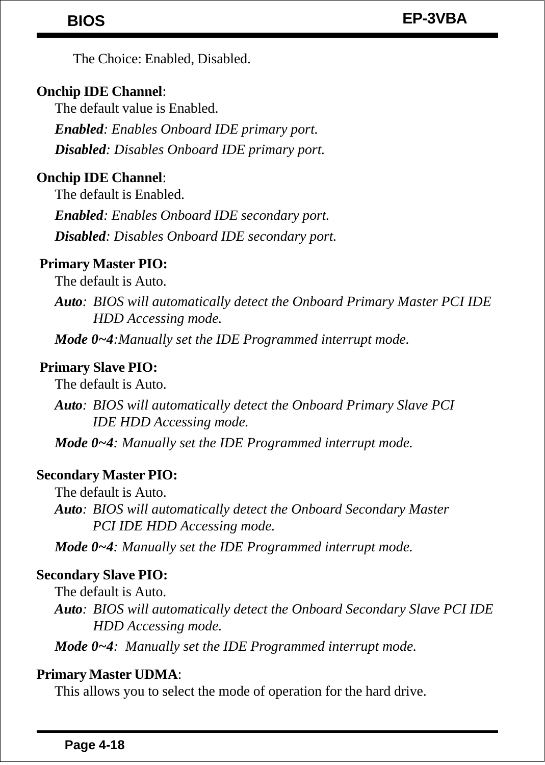The Choice: Enabled, Disabled.

#### **Onchip IDE Channel**:

The default value is Enabled. *Enabled: Enables Onboard IDE primary port. Disabled: Disables Onboard IDE primary port.*

#### **Onchip IDE Channel**:

The default is Enabled.

*Enabled: Enables Onboard IDE secondary port. Disabled: Disables Onboard IDE secondary port.*

#### **Primary Master PIO:**

The default is Auto.

*Auto: BIOS will automatically detect the Onboard Primary Master PCI IDE HDD Accessing mode.*

*Mode 0~4:Manually set the IDE Programmed interrupt mode.*

#### **Primary Slave PIO:**

The default is Auto.

*Auto: BIOS will automatically detect the Onboard Primary Slave PCI IDE HDD Accessing mode.*

*Mode 0~4: Manually set the IDE Programmed interrupt mode.*

#### **Secondary Master PIO:**

The default is Auto. *Auto: BIOS will automatically detect the Onboard Secondary Master PCI IDE HDD Accessing mode.*

*Mode 0~4: Manually set the IDE Programmed interrupt mode.*

#### **Secondary Slave PIO:**

The default is Auto. *Auto: BIOS will automatically detect the Onboard Secondary Slave PCI IDE HDD Accessing mode.*

*Mode 0~4: Manually set the IDE Programmed interrupt mode.*

#### **Primary Master UDMA**:

This allows you to select the mode of operation for the hard drive.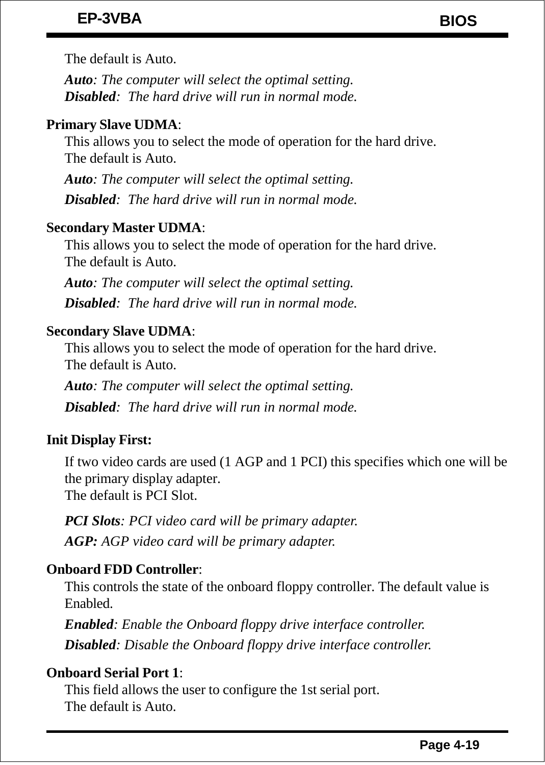#### **EP-3VBA BIOS**

The default is Auto.

*Auto: The computer will select the optimal setting. Disabled: The hard drive will run in normal mode.*

### **Primary Slave UDMA**:

This allows you to select the mode of operation for the hard drive. The default is Auto.

*Auto: The computer will select the optimal setting. Disabled: The hard drive will run in normal mode.*

## **Secondary Master UDMA**:

This allows you to select the mode of operation for the hard drive. The default is Auto.

*Auto: The computer will select the optimal setting.*

*Disabled: The hard drive will run in normal mode.*

## **Secondary Slave UDMA**:

This allows you to select the mode of operation for the hard drive. The default is Auto.

*Auto: The computer will select the optimal setting.*

*Disabled: The hard drive will run in normal mode.*

# **Init Display First:**

If two video cards are used (1 AGP and 1 PCI) this specifies which one will be the primary display adapter.

The default is PCI Slot.

*PCI Slots: PCI video card will be primary adapter. AGP: AGP video card will be primary adapter.*

# **Onboard FDD Controller**:

This controls the state of the onboard floppy controller. The default value is Enabled.

*Enabled: Enable the Onboard floppy drive interface controller. Disabled: Disable the Onboard floppy drive interface controller.*

# **Onboard Serial Port 1**:

This field allows the user to configure the 1st serial port. The default is Auto.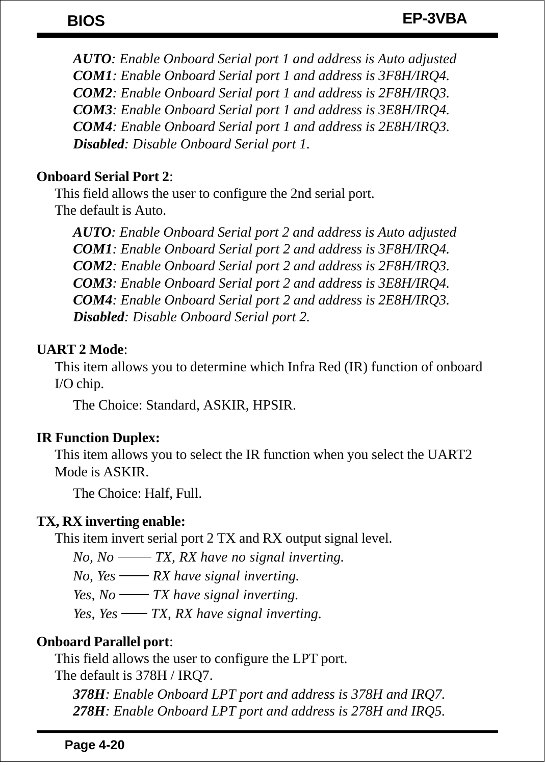*AUTO: Enable Onboard Serial port 1 and address is Auto adjusted COM1: Enable Onboard Serial port 1 and address is 3F8H/IRQ4. COM2: Enable Onboard Serial port 1 and address is 2F8H/IRQ3. COM3: Enable Onboard Serial port 1 and address is 3E8H/IRQ4. COM4: Enable Onboard Serial port 1 and address is 2E8H/IRQ3. Disabled: Disable Onboard Serial port 1.*

#### **Onboard Serial Port 2**:

This field allows the user to configure the 2nd serial port. The default is Auto.

*AUTO: Enable Onboard Serial port 2 and address is Auto adjusted COM1: Enable Onboard Serial port 2 and address is 3F8H/IRQ4. COM2: Enable Onboard Serial port 2 and address is 2F8H/IRQ3. COM3: Enable Onboard Serial port 2 and address is 3E8H/IRQ4. COM4: Enable Onboard Serial port 2 and address is 2E8H/IRQ3. Disabled: Disable Onboard Serial port 2.*

#### **UART 2 Mode**:

This item allows you to determine which Infra Red (IR) function of onboard I/O chip.

The Choice: Standard, ASKIR, HPSIR.

#### **IR Function Duplex:**

This item allows you to select the IR function when you select the UART2 Mode is ASKIR.

The Choice: Half, Full.

#### **TX, RX inverting enable:**

This item invert serial port 2 TX and RX output signal level.

*No, No* — *TX, RX have no signal inverting.* 

*No, Yes* — RX have signal inverting.

*Yes, No* — *TX have signal inverting.* 

*Yes, Yes* — TX, RX have signal inverting.

#### **Onboard Parallel port**:

This field allows the user to configure the LPT port. The default is 378H / IRQ7.

*378H: Enable Onboard LPT port and address is 378H and IRQ7. 278H: Enable Onboard LPT port and address is 278H and IRQ5.*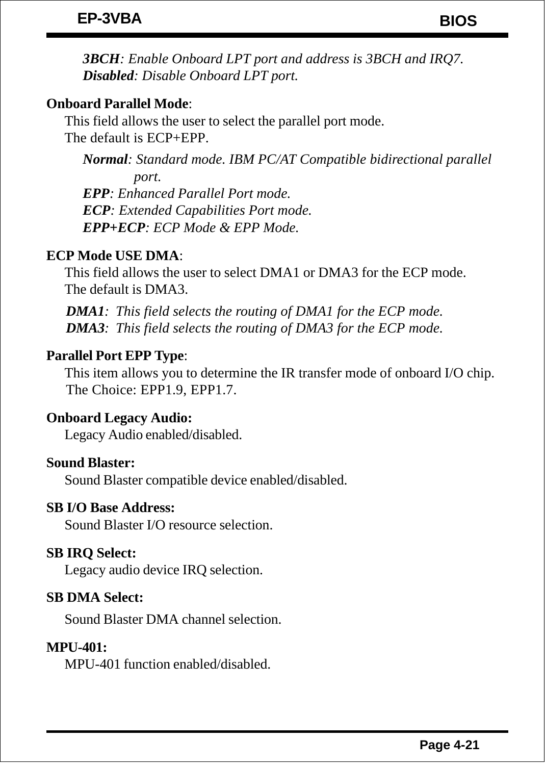*3BCH: Enable Onboard LPT port and address is 3BCH and IRQ7. Disabled: Disable Onboard LPT port.*

#### **Onboard Parallel Mode**:

This field allows the user to select the parallel port mode. The default is ECP+EPP.

*Normal: Standard mode. IBM PC/AT Compatible bidirectional parallel port. EPP: Enhanced Parallel Port mode. ECP: Extended Capabilities Port mode. EPP+ECP: ECP Mode & EPP Mode.*

#### **ECP Mode USE DMA**:

This field allows the user to select DMA1 or DMA3 for the ECP mode. The default is DMA3.

*DMA1: This field selects the routing of DMA1 for the ECP mode. DMA3: This field selects the routing of DMA3 for the ECP mode.*

#### **Parallel Port EPP Type**:

This item allows you to determine the IR transfer mode of onboard I/O chip. The Choice: EPP1.9, EPP1.7.

#### **Onboard Legacy Audio:**

Legacy Audio enabled/disabled.

#### **Sound Blaster:**

Sound Blaster compatible device enabled/disabled.

#### **SB I/O Base Address:**

Sound Blaster I/O resource selection.

#### **SB IRQ Select:**

Legacy audio device IRQ selection.

#### **SB DMA Select:**

Sound Blaster DMA channel selection.

#### **MPU-401:**

MPU-401 function enabled/disabled.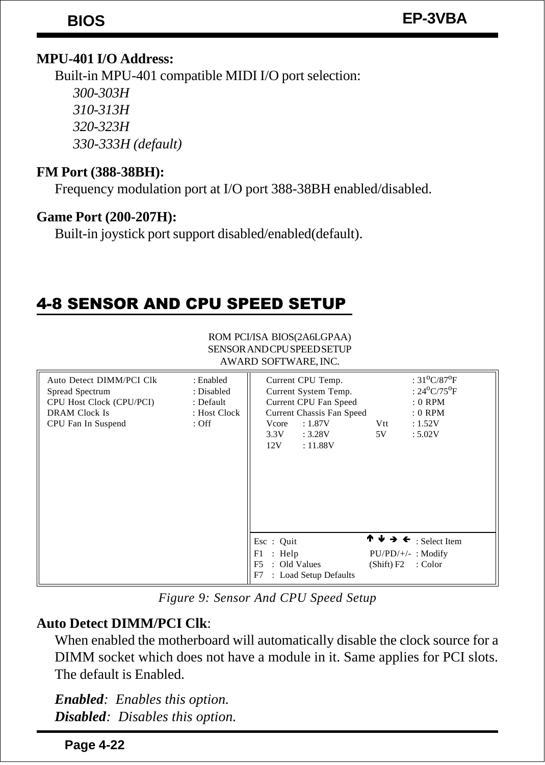#### **MPU-401 I/O Address:**

Built-in MPU-401 compatible MIDI I/O port selection:

*300-303H 310-313H 320-323H 330-333H (default)*

#### **FM Port (388-38BH):**

Frequency modulation port at I/O port 388-38BH enabled/disabled.

#### **Game Port (200-207H):**

Built-in joystick port support disabled/enabled(default).

# 4-8 SENSOR AND CPU SPEED SETUP

|                                                                                                                |                                                                 | ROM PCI/ISA BIOS(2A6LGPAA)<br><b>SENSOR AND CPU SPEED SETUP</b><br>AWARD SOFTWARE INC.                                                                                                                                                                                                               |
|----------------------------------------------------------------------------------------------------------------|-----------------------------------------------------------------|------------------------------------------------------------------------------------------------------------------------------------------------------------------------------------------------------------------------------------------------------------------------------------------------------|
| Auto Detect DIMM/PCI Clk<br>Spread Spectrum<br>CPU Host Clock (CPU/PCI)<br>DRAM Clock Is<br>CPU Fan In Suspend | : Enabled<br>: Disabled<br>: Default<br>: Host Clock<br>$:$ Off | : $31^{\circ}$ C/87 <sup>o</sup> F<br>Current CPU Temp.<br>: $24^{\circ}$ C/75 <sup>o</sup> F<br>Current System Temp.<br>Current CPU Fan Speed<br>$: 0$ RPM<br>Current Chassis Fan Speed<br>$: 0$ RPM<br>: 1.87V<br>: 1.52V<br>Vcore<br>Vtt<br>3.3V<br>5V<br>: $3.28V$<br>: 5.02V<br>12V<br>: 11.88V |
|                                                                                                                |                                                                 | $\uparrow \uparrow \rightarrow \leftarrow$ : Select Item<br>Esc : Quit<br>F1<br>: Help<br>$PU/PD/+/-$ : Modify<br>: Old Values<br>F <sub>5</sub><br>(Shift) F2<br>: Color<br>F7<br>: Load Setup Defaults                                                                                             |

*Figure 9: Sensor And CPU Speed Setup*

#### **Auto Detect DIMM/PCI Clk**:

When enabled the motherboard will automatically disable the clock source for a DIMM socket which does not have a module in it. Same applies for PCI slots. The default is Enabled.

*Enabled: Enables this option. Disabled: Disables this option.*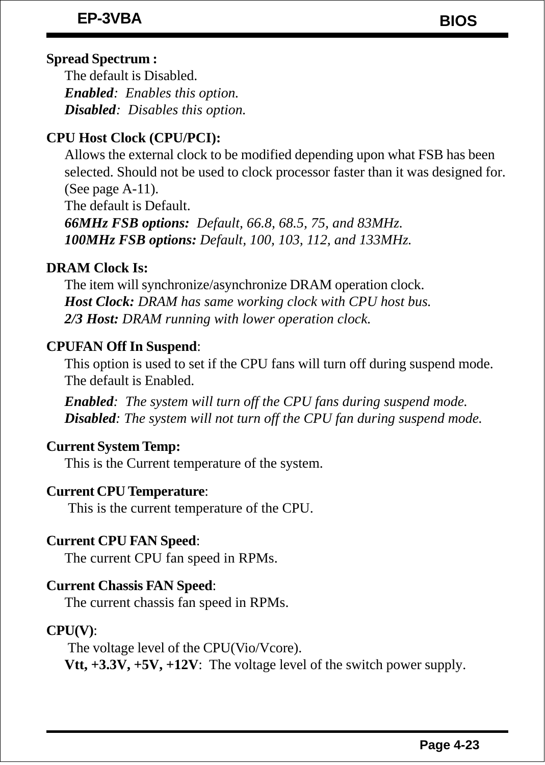#### **Spread Spectrum :**

The default is Disabled. *Enabled: Enables this option. Disabled: Disables this option.*

#### **CPU Host Clock (CPU/PCI):**

Allows the external clock to be modified depending upon what FSB has been selected. Should not be used to clock processor faster than it was designed for. (See page A-11). The default is Default. *66MHz FSB options: Default, 66.8, 68.5, 75, and 83MHz. 100MHz FSB options: Default, 100, 103, 112, and 133MHz.*

#### **DRAM Clock Is:**

The item will synchronize/asynchronize DRAM operation clock. *Host Clock: DRAM has same working clock with CPU host bus. 2/3 Host: DRAM running with lower operation clock.*

#### **CPUFAN Off In Suspend**:

This option is used to set if the CPU fans will turn off during suspend mode. The default is Enabled.

*Enabled: The system will turn off the CPU fans during suspend mode. Disabled: The system will not turn off the CPU fan during suspend mode.*

#### **Current System Temp:**

This is the Current temperature of the system.

#### **Current CPU Temperature**:

This is the current temperature of the CPU.

#### **Current CPU FAN Speed**:

The current CPU fan speed in RPMs.

#### **Current Chassis FAN Speed**:

The current chassis fan speed in RPMs.

#### **CPU(V)**:

 The voltage level of the CPU(Vio/Vcore). **Vtt, +3.3V, +5V, +12V**: The voltage level of the switch power supply.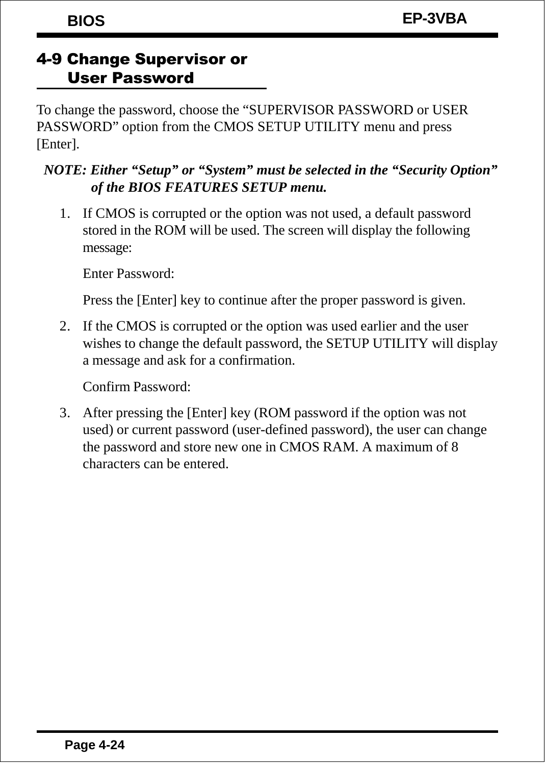#### 4-9 Change Supervisor or User Password

To change the password, choose the "SUPERVISOR PASSWORD or USER PASSWORD" option from the CMOS SETUP UTILITY menu and press [Enter].

#### *NOTE: Either "Setup" or "System" must be selected in the "Security Option" of the BIOS FEATURES SETUP menu.*

1. If CMOS is corrupted or the option was not used, a default password stored in the ROM will be used. The screen will display the following message:

Enter Password:

Press the [Enter] key to continue after the proper password is given.

2. If the CMOS is corrupted or the option was used earlier and the user wishes to change the default password, the SETUP UTILITY will display a message and ask for a confirmation.

Confirm Password:

3. After pressing the [Enter] key (ROM password if the option was not used) or current password (user-defined password), the user can change the password and store new one in CMOS RAM. A maximum of 8 characters can be entered.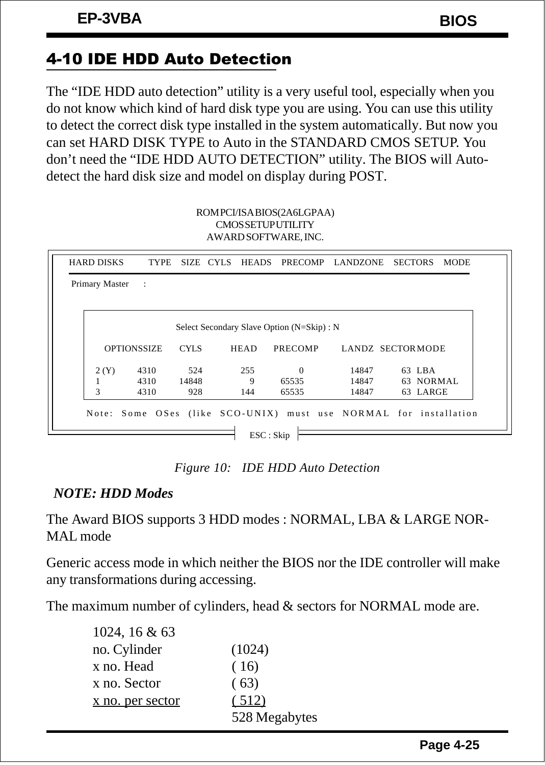#### 4-10 IDE HDD Auto Detection

The "IDE HDD auto detection" utility is a very useful tool, especially when you do not know which kind of hard disk type you are using. You can use this utility to detect the correct disk type installed in the system automatically. But now you can set HARD DISK TYPE to Auto in the STANDARD CMOS SETUP. You don't need the "IDE HDD AUTO DETECTION" utility. The BIOS will Autodetect the hard disk size and model on display during POST.

| ROMPCI/ISABIOS(2A6LGPAA) |
|--------------------------|
| <b>CMOSSETUPUTILITY</b>  |
| AWARD SOFTWARE. INC.     |

|      |                    |       |             | Select Secondary Slave Option (N=Skip) : N |       |                         |  |
|------|--------------------|-------|-------------|--------------------------------------------|-------|-------------------------|--|
|      |                    |       |             |                                            |       |                         |  |
|      | <b>OPTIONSSIZE</b> | CYLS  | <b>HEAD</b> | <b>PRECOMP</b>                             |       | <b>LANDZ SECTORMODE</b> |  |
| 2(Y) | 4310               | 524   | 255         | $\Omega$                                   | 14847 | 63 LBA                  |  |
|      | 4310               | 14848 | 9           | 65535                                      | 14847 | 63 NORMAL               |  |
| 3    | 4310               | 928   | 144         | 65535                                      | 14847 | 63 LARGE                |  |

*Figure 10: IDE HDD Auto Detection*

#### *NOTE: HDD Modes*

The Award BIOS supports 3 HDD modes : NORMAL, LBA & LARGE NOR-MAL mode

Generic access mode in which neither the BIOS nor the IDE controller will make any transformations during accessing.

The maximum number of cylinders, head & sectors for NORMAL mode are.

| 1024, 16 & 63    |               |
|------------------|---------------|
| no. Cylinder     | (1024)        |
| x no. Head       | (16)          |
| x no. Sector     | (63)          |
| x no. per sector | (512)         |
|                  | 528 Megabytes |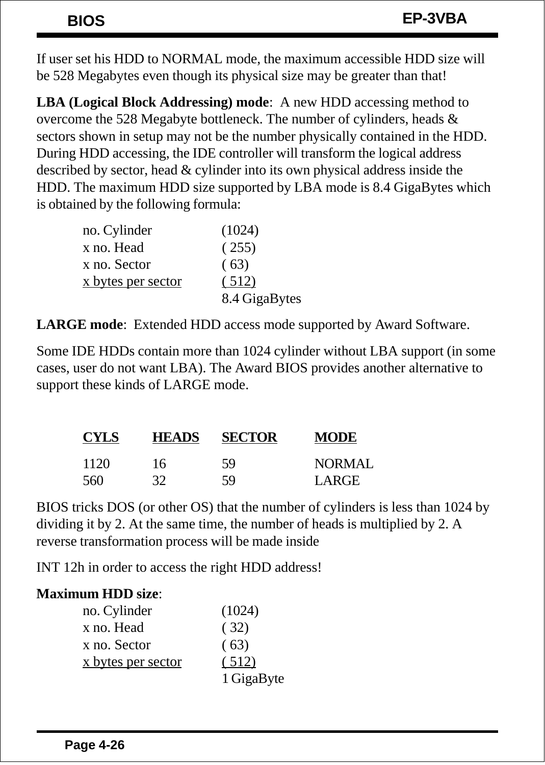If user set his HDD to NORMAL mode, the maximum accessible HDD size will be 528 Megabytes even though its physical size may be greater than that!

**LBA (Logical Block Addressing) mode**: A new HDD accessing method to overcome the 528 Megabyte bottleneck. The number of cylinders, heads & sectors shown in setup may not be the number physically contained in the HDD. During HDD accessing, the IDE controller will transform the logical address described by sector, head & cylinder into its own physical address inside the HDD. The maximum HDD size supported by LBA mode is 8.4 GigaBytes which is obtained by the following formula:

| (1024)        |
|---------------|
| (255)         |
| (63)          |
| (512)         |
| 8.4 GigaBytes |
|               |

**LARGE mode**: Extended HDD access mode supported by Award Software.

Some IDE HDDs contain more than 1024 cylinder without LBA support (in some cases, user do not want LBA). The Award BIOS provides another alternative to support these kinds of LARGE mode.

| <b>CYLS</b> | <b>HEADS</b> | <b>SECTOR</b> | <b>MODE</b>   |
|-------------|--------------|---------------|---------------|
| 1120        | 16           | 59            | <b>NORMAL</b> |
| 560         | 32           | 59            | LARGE         |

BIOS tricks DOS (or other OS) that the number of cylinders is less than 1024 by dividing it by 2. At the same time, the number of heads is multiplied by 2. A reverse transformation process will be made inside

INT 12h in order to access the right HDD address!

#### **Maximum HDD size**:

| no. Cylinder              | (1024)     |
|---------------------------|------------|
| x no. Head                | (32)       |
| x no. Sector              | (63)       |
| <u>x bytes per sector</u> | (512)      |
|                           | 1 GigaByte |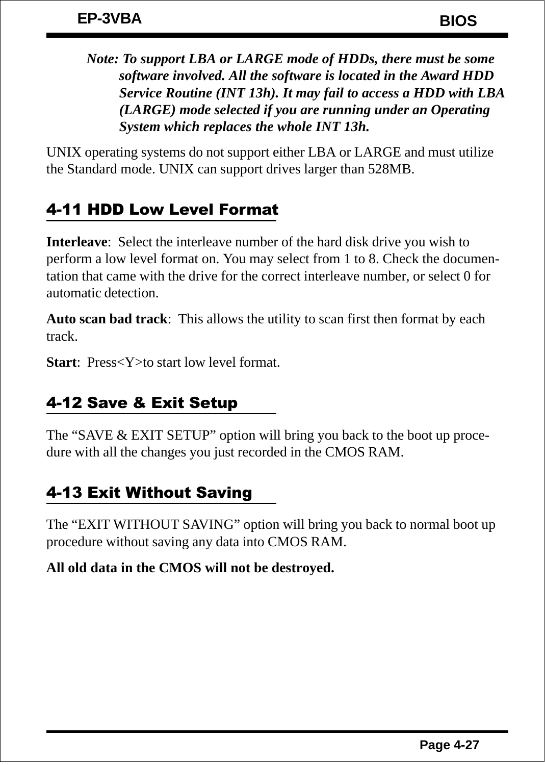*Note: To support LBA or LARGE mode of HDDs, there must be some software involved. All the software is located in the Award HDD Service Routine (INT 13h). It may fail to access a HDD with LBA (LARGE) mode selected if you are running under an Operating System which replaces the whole INT 13h.*

UNIX operating systems do not support either LBA or LARGE and must utilize the Standard mode. UNIX can support drives larger than 528MB.

# 4-11 HDD Low Level Format

**Interleave**: Select the interleave number of the hard disk drive you wish to perform a low level format on. You may select from 1 to 8. Check the documentation that came with the drive for the correct interleave number, or select 0 for automatic detection.

**Auto scan bad track**: This allows the utility to scan first then format by each track.

**Start**: Press<Y>to start low level format.

# 4-12 Save & Exit Setup

The "SAVE & EXIT SETUP" option will bring you back to the boot up procedure with all the changes you just recorded in the CMOS RAM.

# 4-13 Exit Without Saving

The "EXIT WITHOUT SAVING" option will bring you back to normal boot up procedure without saving any data into CMOS RAM.

#### **All old data in the CMOS will not be destroyed.**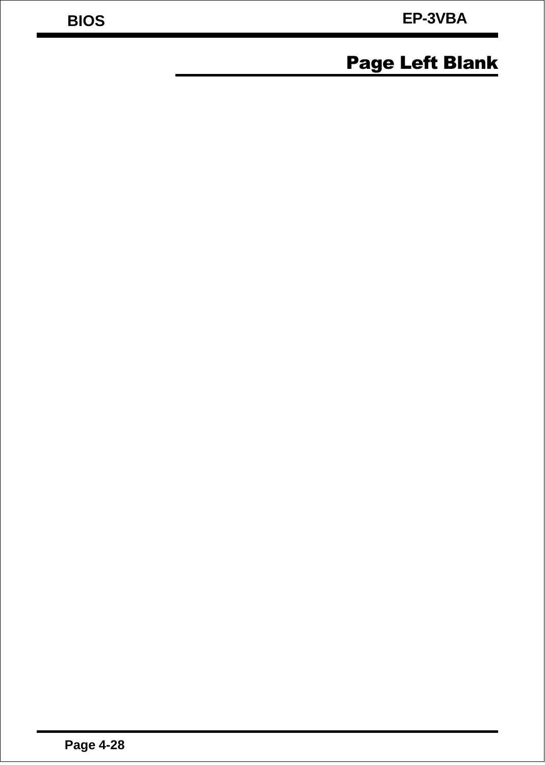# Page Left Blank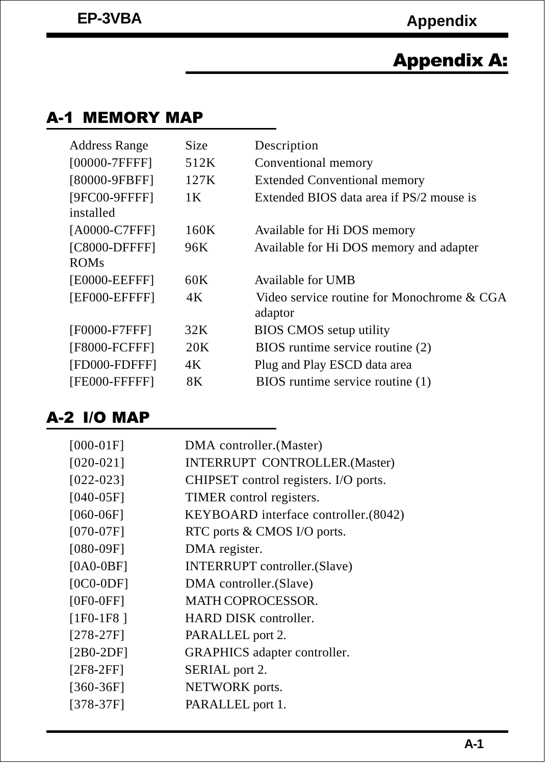# Appendix A:

# A-1 MEMORY MAP

| <b>Address Range</b> | Size            | Description                                |
|----------------------|-----------------|--------------------------------------------|
| [00000-7FFFF]        | 512K            | Conventional memory                        |
| [80000-9FBFF]        | 127K            | <b>Extended Conventional memory</b>        |
| [9FC00-9FFFF]        | 1 K             | Extended BIOS data area if PS/2 mouse is   |
| installed            |                 |                                            |
| $[A0000-C7FFF]$      | 160K            | Available for Hi DOS memory                |
| $[C8000-DFFFFF]$     | 96K             | Available for Hi DOS memory and adapter    |
| <b>ROMs</b>          |                 |                                            |
| [E0000-EEFFF]        | 60K             | Available for UMB                          |
| [EF000-EFFFF]        | 4K              | Video service routine for Monochrome & CGA |
|                      |                 | adaptor                                    |
| [F0000-F7FFF]        | 32K             | BIOS CMOS setup utility                    |
| [F8000-FCFFF]        | 20 <sub>K</sub> | BIOS runtime service routine (2)           |
| [FD000-FDFFF]        | 4K              | Plug and Play ESCD data area               |
| [FE000-FFFFF]        | 8Κ              | BIOS runtime service routine (1)           |

## A-2 I/O MAP

| $[000-01F]$   | DMA controller. (Master)              |
|---------------|---------------------------------------|
| $[020-021]$   | <b>INTERRUPT CONTROLLER.</b> (Master) |
| $[022-023]$   | CHIPSET control registers. I/O ports. |
| $[040-05F]$   | TIMER control registers.              |
| $[060-06F]$   | KEYBOARD interface controller.(8042)  |
| $[070-07F]$   | RTC ports & CMOS I/O ports.           |
| $[080-09F]$   | DMA register.                         |
| $[0A0-0BF]$   | INTERRUPT controller. (Slave)         |
| $[0C0-0DF]$   | DMA controller. (Slave)               |
| $[0F0-0FF]$   | <b>MATH COPROCESSOR.</b>              |
| $[1F0-1F8]$   | <b>HARD DISK controller.</b>          |
| $[278-27F]$   | PARALLEL port 2.                      |
| $[2B0-2DF]$   | GRAPHICS adapter controller.          |
| $[2F8-2FF]$   | SERIAL port 2.                        |
| $[360 - 36F]$ | NETWORK ports.                        |
| $[378-37F]$   | PARALLEL port 1.                      |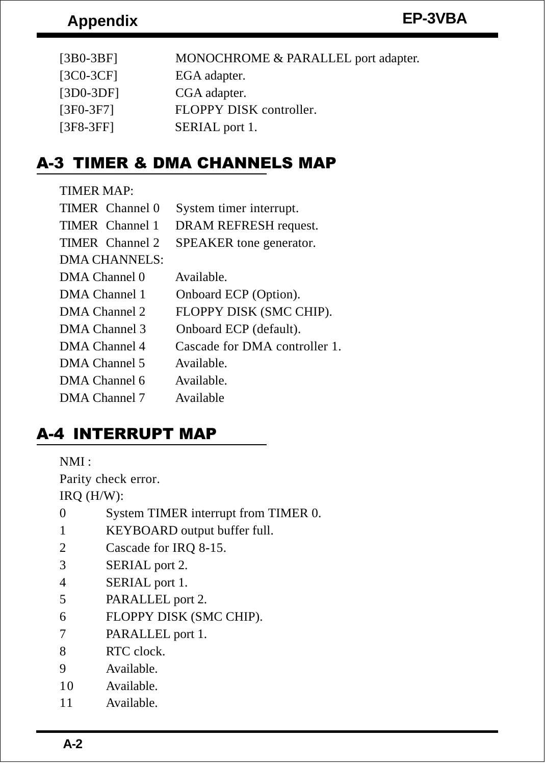| $[3B0-3BF]$ | MONOCHROME & PARALLEL port adapter. |
|-------------|-------------------------------------|
| $[3C0-3CF]$ | EGA adapter.                        |
| $[3D0-3DF]$ | CGA adapter.                        |
| $[3F0-3F7]$ | FLOPPY DISK controller.             |
| $[3F8-3F]$  | SERIAL port 1.                      |

#### A-3 TIMER & DMA CHANNELS MAP

| TIMER MAP:      |                               |
|-----------------|-------------------------------|
| TIMER Channel 0 | System timer interrupt.       |
| TIMER Channel 1 | DRAM REFRESH request.         |
| TIMER Channel 2 | SPEAKER tone generator.       |
| DMA CHANNELS:   |                               |
| DMA Channel 0   | Available.                    |
| DMA Channel 1   | Onboard ECP (Option).         |
| DMA Channel 2   | FLOPPY DISK (SMC CHIP).       |
| DMA Channel 3   | Onboard ECP (default).        |
| DMA Channel 4   | Cascade for DMA controller 1. |
| DMA Channel 5   | Available.                    |
| DMA Channel 6   | Available.                    |
| DMA Channel 7   | Available                     |

# A-4 INTERRUPT MAP

NMI : Parity check error.

IRQ (H/W):

- 0 System TIMER interrupt from TIMER 0.
- 1 KEYBOARD output buffer full.
- 2 Cascade for IRQ 8-15.
- 3 SERIAL port 2.
- 4 SERIAL port 1.
- 5 PARALLEL port 2.
- 6 FLOPPY DISK (SMC CHIP).
- 7 PARALLEL port 1.
- 8 RTC clock.
- 9 Available.
- 10 Available.
- 11 Available.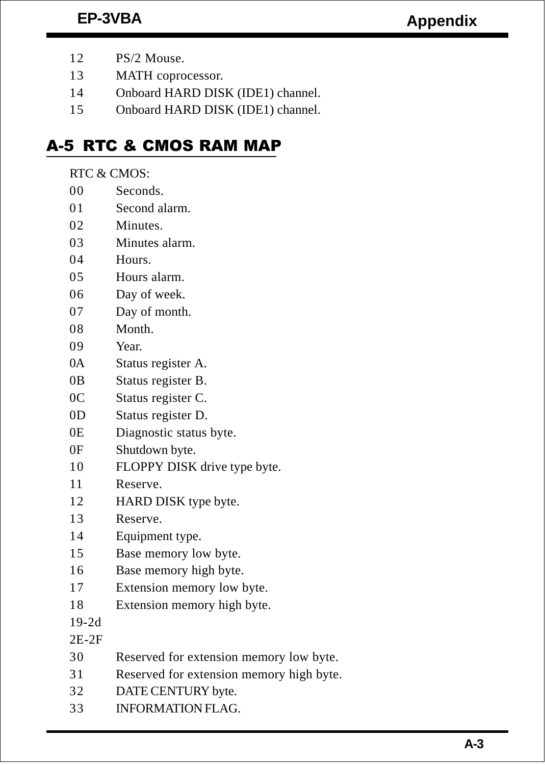- 12 PS/2 Mouse.
- 13 MATH coprocessor.
- 14 Onboard HARD DISK (IDE1) channel.
- 15 Onboard HARD DISK (IDE1) channel.

#### A-5 RTC & CMOS RAM MAP

RTC & CMOS:

- 00 Seconds.
- 01 Second alarm.
- 02 Minutes.
- 03 Minutes alarm.
- 04 Hours.
- 05 Hours alarm.
- 06 Day of week.
- 07 Day of month.
- 08 Month.
- 09 Year.
- 0A Status register A.
- 0B Status register B.
- 0C Status register C.
- 0D Status register D.
- 0E Diagnostic status byte.
- 0F Shutdown byte.
- 10 FLOPPY DISK drive type byte.
- 11 Reserve.
- 12 HARD DISK type byte.
- 13 Reserve.
- 14 Equipment type.
- 15 Base memory low byte.
- 16 Base memory high byte.
- 17 Extension memory low byte.
- 18 Extension memory high byte.
- 19-2d
- 2E-2F
- 30 Reserved for extension memory low byte.
- 31 Reserved for extension memory high byte.
- 32 DATE CENTURY byte.
- 33 INFORMATION FLAG.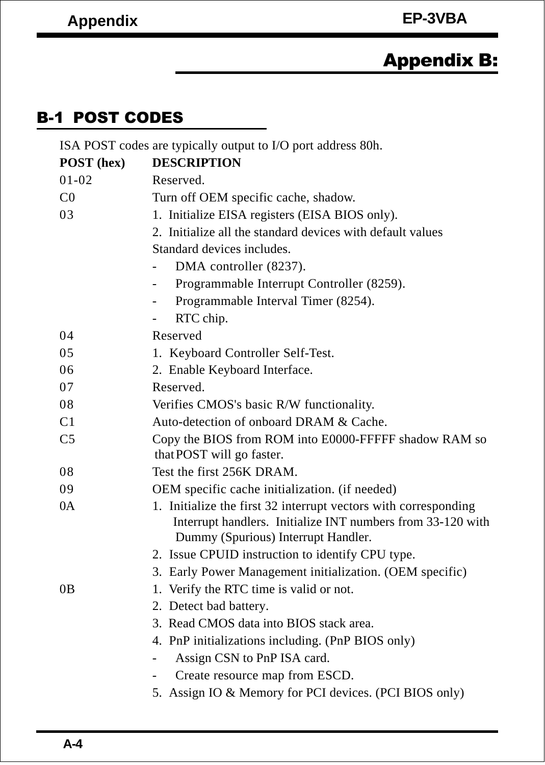# Appendix B:

# B-1 POST CODES

|                | ISA POST codes are typically output to I/O port address 80h.    |  |  |
|----------------|-----------------------------------------------------------------|--|--|
| POST (hex)     | <b>DESCRIPTION</b>                                              |  |  |
| $01 - 02$      | Reserved.                                                       |  |  |
| C <sub>0</sub> | Turn off OEM specific cache, shadow.                            |  |  |
| 03             | 1. Initialize EISA registers (EISA BIOS only).                  |  |  |
|                | 2. Initialize all the standard devices with default values      |  |  |
|                | Standard devices includes.                                      |  |  |
|                | DMA controller (8237).                                          |  |  |
|                | Programmable Interrupt Controller (8259).<br>÷,                 |  |  |
|                | Programmable Interval Timer (8254).                             |  |  |
|                | RTC chip.                                                       |  |  |
| 04             | Reserved                                                        |  |  |
| 05             | 1. Keyboard Controller Self-Test.                               |  |  |
| 06             | 2. Enable Keyboard Interface.                                   |  |  |
| 07             | Reserved.                                                       |  |  |
| 08             | Verifies CMOS's basic R/W functionality.                        |  |  |
| C <sub>1</sub> | Auto-detection of onboard DRAM & Cache.                         |  |  |
| C <sub>5</sub> | Copy the BIOS from ROM into E0000-FFFFF shadow RAM so           |  |  |
|                | that POST will go faster.                                       |  |  |
| 08             | Test the first 256K DRAM.                                       |  |  |
| 09             | OEM specific cache initialization. (if needed)                  |  |  |
| 0A             | 1. Initialize the first 32 interrupt vectors with corresponding |  |  |
|                | Interrupt handlers. Initialize INT numbers from 33-120 with     |  |  |
|                | Dummy (Spurious) Interrupt Handler.                             |  |  |
|                | 2. Issue CPUID instruction to identify CPU type.                |  |  |
|                | 3. Early Power Management initialization. (OEM specific)        |  |  |
| 0B             | 1. Verify the RTC time is valid or not.                         |  |  |
|                | 2. Detect bad battery.                                          |  |  |
|                | 3. Read CMOS data into BIOS stack area.                         |  |  |
|                | 4. PnP initializations including. (PnP BIOS only)               |  |  |
|                | Assign CSN to PnP ISA card.                                     |  |  |
|                | Create resource map from ESCD.                                  |  |  |
|                | 5. Assign IO & Memory for PCI devices. (PCI BIOS only)          |  |  |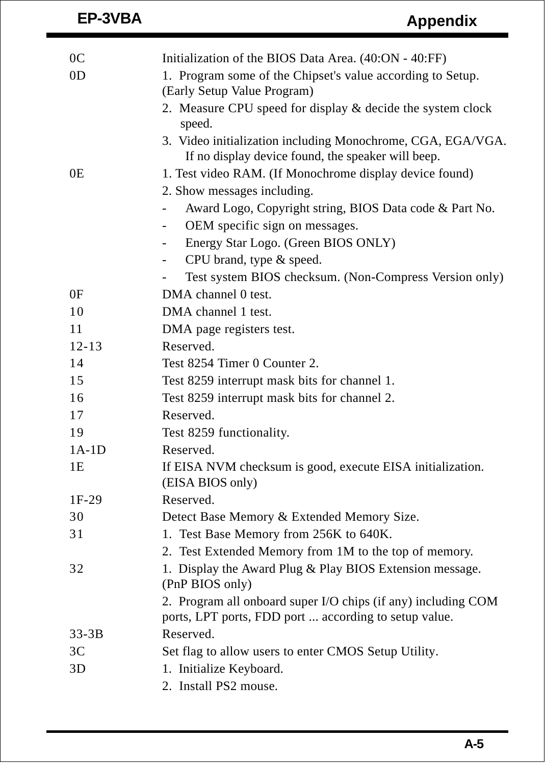| 0 <sup>C</sup> | Initialization of the BIOS Data Area. (40:ON - 40:FF)                                                             |
|----------------|-------------------------------------------------------------------------------------------------------------------|
| 0 <sub>D</sub> | 1. Program some of the Chipset's value according to Setup.<br>(Early Setup Value Program)                         |
|                | 2. Measure CPU speed for display & decide the system clock<br>speed.                                              |
|                | 3. Video initialization including Monochrome, CGA, EGA/VGA.<br>If no display device found, the speaker will beep. |
| 0E             | 1. Test video RAM. (If Monochrome display device found)                                                           |
|                | 2. Show messages including.                                                                                       |
|                | Award Logo, Copyright string, BIOS Data code & Part No.                                                           |
|                | OEM specific sign on messages.<br>÷,                                                                              |
|                | Energy Star Logo. (Green BIOS ONLY)                                                                               |
|                | CPU brand, type & speed.<br>L.                                                                                    |
|                | Test system BIOS checksum. (Non-Compress Version only)                                                            |
| 0 <sub>F</sub> | DMA channel 0 test.                                                                                               |
| 10             | DMA channel 1 test.                                                                                               |
| 11             | DMA page registers test.                                                                                          |
| $12 - 13$      | Reserved.                                                                                                         |
| 14             | Test 8254 Timer 0 Counter 2.                                                                                      |
| 15             | Test 8259 interrupt mask bits for channel 1.                                                                      |
| 16             | Test 8259 interrupt mask bits for channel 2.                                                                      |
| 17             | Reserved.                                                                                                         |
| 19             | Test 8259 functionality.                                                                                          |
| $1A-1D$        | Reserved.                                                                                                         |
| 1E             | If EISA NVM checksum is good, execute EISA initialization.<br>(EISA BIOS only)                                    |
| $1F-29$        | Reserved.                                                                                                         |
| 30             | Detect Base Memory & Extended Memory Size.                                                                        |
| 31             | 1. Test Base Memory from 256K to 640K.                                                                            |
|                | 2. Test Extended Memory from 1M to the top of memory.                                                             |
| 32             | 1. Display the Award Plug & Play BIOS Extension message.<br>(PnP BIOS only)                                       |
|                | 2. Program all onboard super I/O chips (if any) including COM                                                     |
|                | ports, LPT ports, FDD port  according to setup value.                                                             |
| $33-3B$        | Reserved.                                                                                                         |
| 3C             | Set flag to allow users to enter CMOS Setup Utility.                                                              |
| 3D             | 1. Initialize Keyboard.                                                                                           |
|                | 2. Install PS2 mouse.                                                                                             |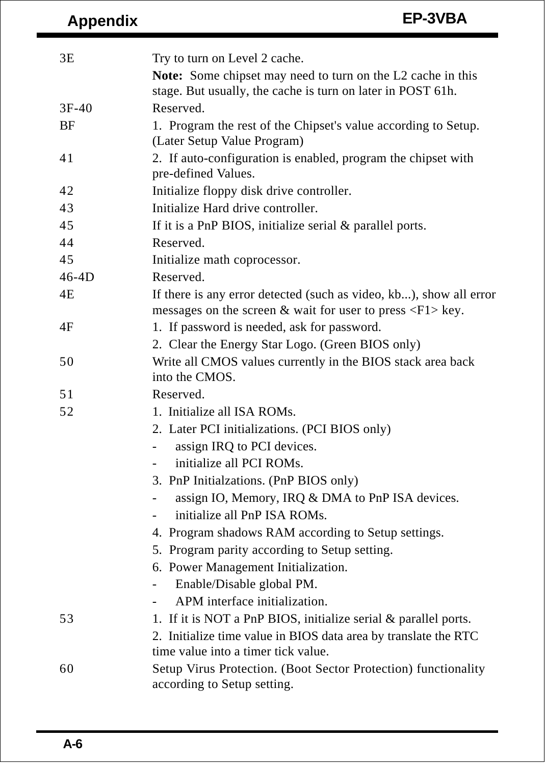| 3E      | Try to turn on Level 2 cache.                                                                                                           |
|---------|-----------------------------------------------------------------------------------------------------------------------------------------|
|         | Note: Some chipset may need to turn on the L2 cache in this                                                                             |
|         | stage. But usually, the cache is turn on later in POST 61h.                                                                             |
| $3F-40$ | Reserved.                                                                                                                               |
| BF      | 1. Program the rest of the Chipset's value according to Setup.<br>(Later Setup Value Program)                                           |
| 41      | 2. If auto-configuration is enabled, program the chipset with<br>pre-defined Values.                                                    |
| 42      | Initialize floppy disk drive controller.                                                                                                |
| 43      | Initialize Hard drive controller.                                                                                                       |
| 45      | If it is a PnP BIOS, initialize serial & parallel ports.                                                                                |
| 44      | Reserved.                                                                                                                               |
| 45      | Initialize math coprocessor.                                                                                                            |
| $46-4D$ | Reserved.                                                                                                                               |
| 4Ε      | If there is any error detected (such as video, kb), show all error<br>messages on the screen $\&$ wait for user to press <f1> key.</f1> |
| 4F      | 1. If password is needed, ask for password.                                                                                             |
|         | 2. Clear the Energy Star Logo. (Green BIOS only)                                                                                        |
| 50      | Write all CMOS values currently in the BIOS stack area back<br>into the CMOS.                                                           |
| 51      | Reserved.                                                                                                                               |
| 52      | 1. Initialize all ISA ROMs.                                                                                                             |
|         | 2. Later PCI initializations. (PCI BIOS only)                                                                                           |
|         | assign IRQ to PCI devices.<br>÷,                                                                                                        |
|         | initialize all PCI ROMs.                                                                                                                |
|         | 3. PnP Initialzations. (PnP BIOS only)                                                                                                  |
|         | assign IO, Memory, IRQ & DMA to PnP ISA devices.                                                                                        |
|         | initialize all PnP ISA ROMs.<br>$\blacksquare$                                                                                          |
|         | 4. Program shadows RAM according to Setup settings.                                                                                     |
|         | 5. Program parity according to Setup setting.                                                                                           |
|         | 6. Power Management Initialization.                                                                                                     |
|         | Enable/Disable global PM.<br>÷,                                                                                                         |
|         | APM interface initialization.                                                                                                           |
| 53      | 1. If it is NOT a PnP BIOS, initialize serial & parallel ports.                                                                         |
|         | 2. Initialize time value in BIOS data area by translate the RTC                                                                         |
|         | time value into a timer tick value.                                                                                                     |
| 60      | Setup Virus Protection. (Boot Sector Protection) functionality<br>according to Setup setting.                                           |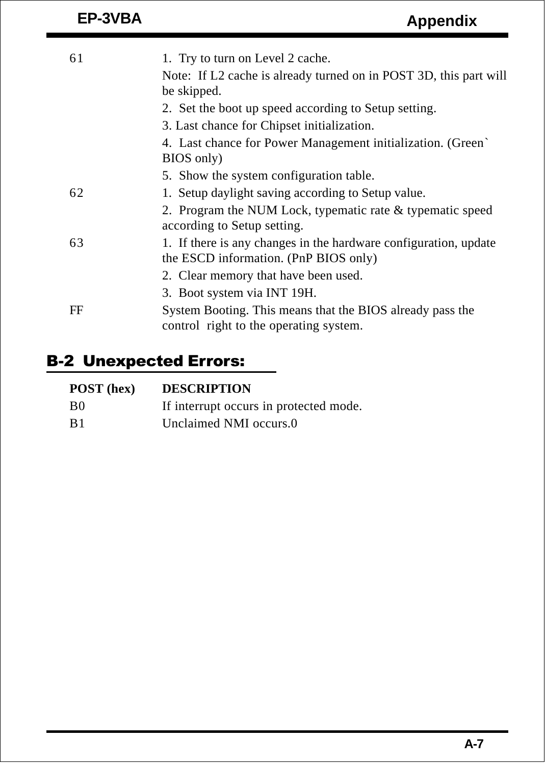| EP-3VBA     | <b>Appendix</b>                                                                                           |
|-------------|-----------------------------------------------------------------------------------------------------------|
| 61          | 1. Try to turn on Level 2 cache.                                                                          |
|             | Note: If L2 cache is already turned on in POST 3D, this part will<br>be skipped.                          |
|             | 2. Set the boot up speed according to Setup setting.                                                      |
|             | 3. Last chance for Chipset initialization.                                                                |
|             | 4. Last chance for Power Management initialization. (Green)<br>BIOS only)                                 |
|             | 5. Show the system configuration table.                                                                   |
| 62          | 1. Setup daylight saving according to Setup value.                                                        |
|             | 2. Program the NUM Lock, typematic rate & typematic speed<br>according to Setup setting.                  |
| 63          | 1. If there is any changes in the hardware configuration, update<br>the ESCD information. (PnP BIOS only) |
|             | 2. Clear memory that have been used.                                                                      |
|             | 3. Boot system via INT 19H.                                                                               |
| $_{\rm FF}$ | System Booting. This means that the BIOS already pass the<br>control right to the operating system.       |

# B-2 Unexpected Errors:

٠

| POST (hex) | <b>DESCRIPTION</b>                     |
|------------|----------------------------------------|
| B0         | If interrupt occurs in protected mode. |
| B1         | Unclaimed NMI occurs.0                 |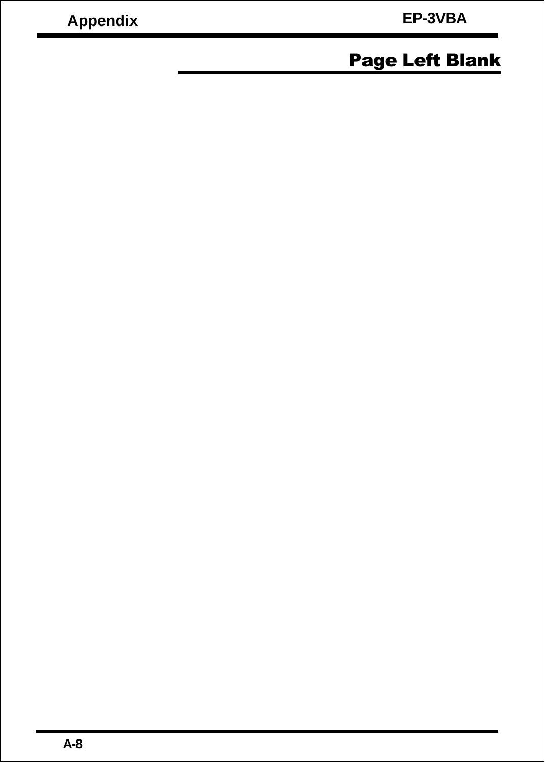# Page Left Blank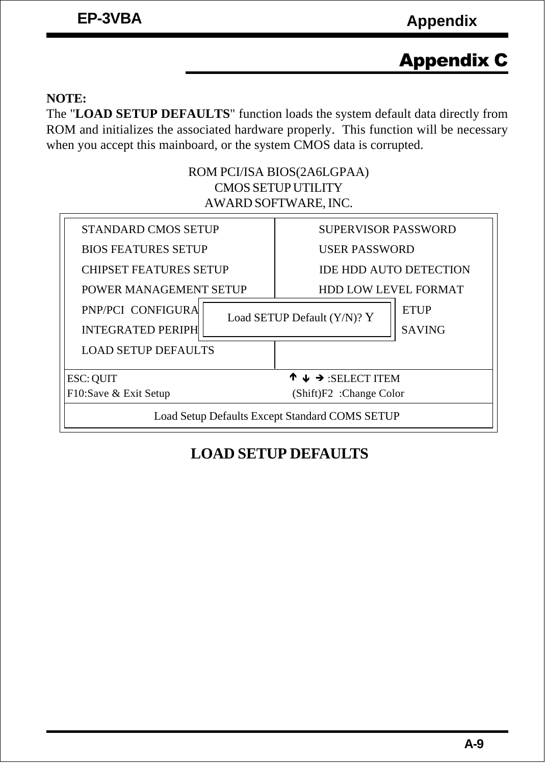# Appendix C

#### **NOTE:**

The "**LOAD SETUP DEFAULTS**" function loads the system default data directly from ROM and initializes the associated hardware properly. This function will be necessary when you accept this mainboard, or the system CMOS data is corrupted.

#### ROM PCI/ISA BIOS(2A6LGPAA) CMOS SETUP UTILITY AWARD SOFTWARE, INC.

| STANDARD CMOS SETUP                            |                                                             | SUPERVISOR PASSWORD                     |  |
|------------------------------------------------|-------------------------------------------------------------|-----------------------------------------|--|
| <b>BIOS FEATURES SETUP</b>                     |                                                             | <b>USER PASSWORD</b>                    |  |
| <b>CHIPSET FEATURES SETUP</b>                  |                                                             | <b>IDE HDD AUTO DETECTION</b>           |  |
| POWER MANAGEMENT SETUP                         | <b>HDD LOW LEVEL FORMAT</b>                                 |                                         |  |
| PNP/PCI CONFIGURA                              | <b>ETUP</b><br>Load SETUP Default (Y/N)? Y<br><b>SAVING</b> |                                         |  |
| <b>INTEGRATED PERIPH</b>                       |                                                             |                                         |  |
| <b>LOAD SETUP DEFAULTS</b>                     |                                                             |                                         |  |
| ESC: OUIT                                      |                                                             | $\downarrow$ $\rightarrow$ :SELECT ITEM |  |
| F10:Save & Exit Setup                          | $(Shift)F2$ : Change Color                                  |                                         |  |
| Load Setup Defaults Except Standard COMS SETUP |                                                             |                                         |  |

#### **LOAD SETUP DEFAULTS**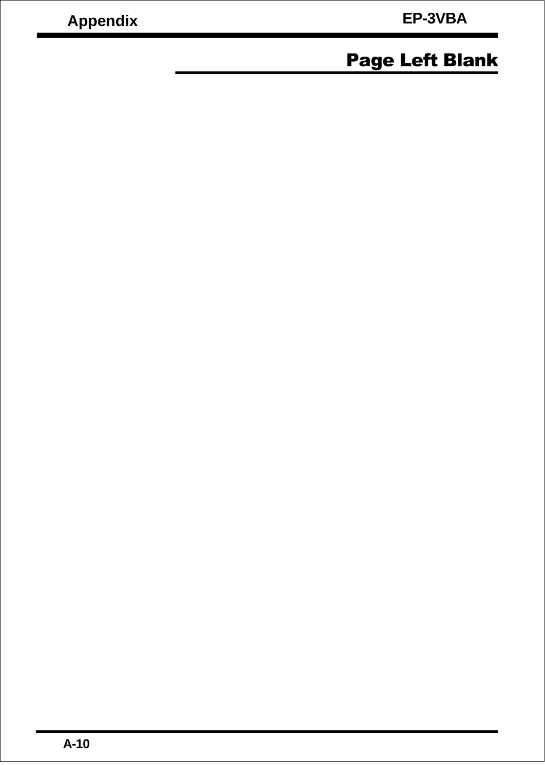# Page Left Blank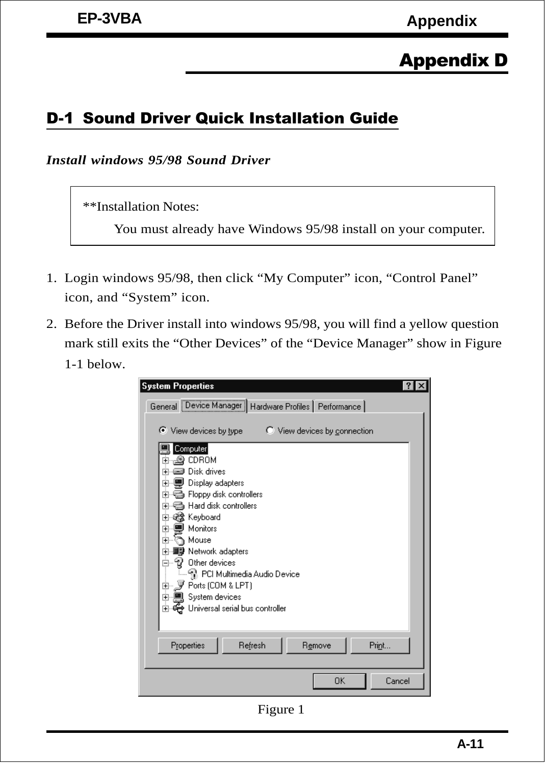# Appendix D

#### D-1 Sound Driver Quick Installation Guide

*Install windows 95/98 Sound Driver*

\*\*Installation Notes:

You must already have Windows 95/98 install on your computer.

- 1. Login windows 95/98, then click "My Computer" icon, "Control Panel" icon, and "System" icon.
- 2. Before the Driver install into windows 95/98, you will find a yellow question mark still exits the "Other Devices" of the "Device Manager" show in Figure 1-1 below.

| <b>System Properties</b>                                 |
|----------------------------------------------------------|
| General [Device Manager] Hardware Profiles   Performance |
|                                                          |
| ⊙ View devices by type △ View devices by connection      |
| Computer<br>⊴ CDROM                                      |
| <b>■ Disk drives</b>                                     |
| ■ Display adapters<br>$\overline{+}$                     |
| § Floppy disk controllers<br>$\overline{+}$              |
| Hard disk controllers<br>$\overline{+}$                  |
| 主 磴雲 Keyboard<br>■ Monitors<br>$\overline{+}$            |
| Mouse<br>$\overline{+}$                                  |
| --團聯 Network adapters<br>$\overline{+}$                  |
| 白…❤️ Other devices                                       |
| PCI Multimedia Audio Device                              |
| 由… y Ports (COM & LPT)                                   |
| 由 ■ System devices                                       |
| 由 <del>啞</del> Universal serial bus controller           |
|                                                          |
|                                                          |
| Properties<br>Refresh<br>Remove<br>Print                 |
|                                                          |
| 0K<br>Cancel                                             |

Figure 1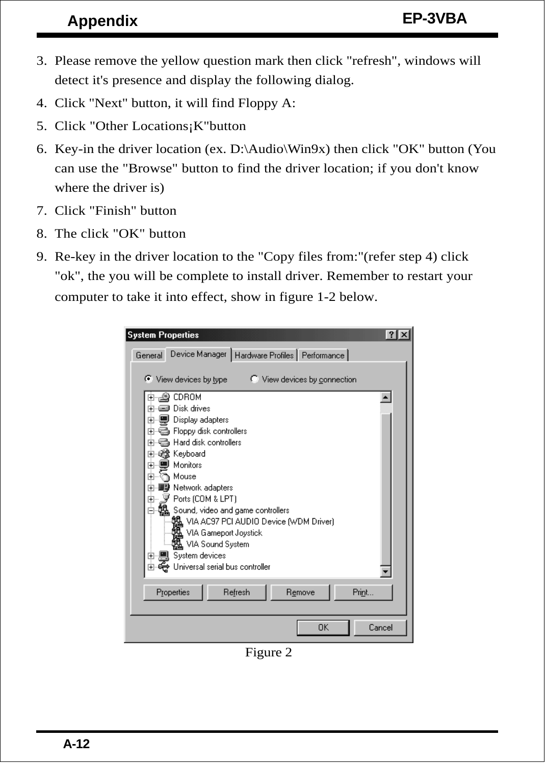# **Appendix EP-3VBA**

- 3. Please remove the yellow question mark then click "refresh", windows will detect it's presence and display the following dialog.
- 4. Click "Next" button, it will find Floppy A:
- 5. Click "Other Locations¡K"button
- 6. Key-in the driver location (ex. D:\Audio\Win9x) then click "OK" button (You can use the "Browse" button to find the driver location; if you don't know where the driver is)
- 7. Click "Finish" button
- 8. The click "OK" button
- 9. Re-key in the driver location to the "Copy files from:"(refer step 4) click "ok", the you will be complete to install driver. Remember to restart your computer to take it into effect, show in figure 1-2 below.

| <b>System Properties</b>                                                        |
|---------------------------------------------------------------------------------|
| Device Manager   Hardware Profiles   Performance  <br>General                   |
|                                                                                 |
| C View devices by connection<br>$\bullet$ View devices by type                  |
| CDROM                                                                           |
| Disk drives<br>ஈ                                                                |
| Display adapters<br>$\overline{+}$<br>Floppy disk controllers<br>$\overline{+}$ |
| r Hard disk controllers<br>ஈ                                                    |
| 由 避暑 Keyboard                                                                   |
| Monitors<br>ஈ                                                                   |
| Mouse<br>$\overline{+}$                                                         |
| 圖 Network adapters<br>曱<br>Ports (COM & LPT)<br>中                               |
| Sound, video and game controllers                                               |
| VIA AC97 PCI AUDIO Device (WDM Driver)                                          |
| VIA Gameport Joystick                                                           |
| VIA Sound System                                                                |
| 凰 System devices<br>$\overline{+}$<br>Universal serial bus controller<br>ஈ      |
|                                                                                 |
| Properties<br>Refresh<br>Remove<br>Print                                        |
|                                                                                 |
|                                                                                 |
| <b>OK</b><br>Cancel                                                             |

Figure 2